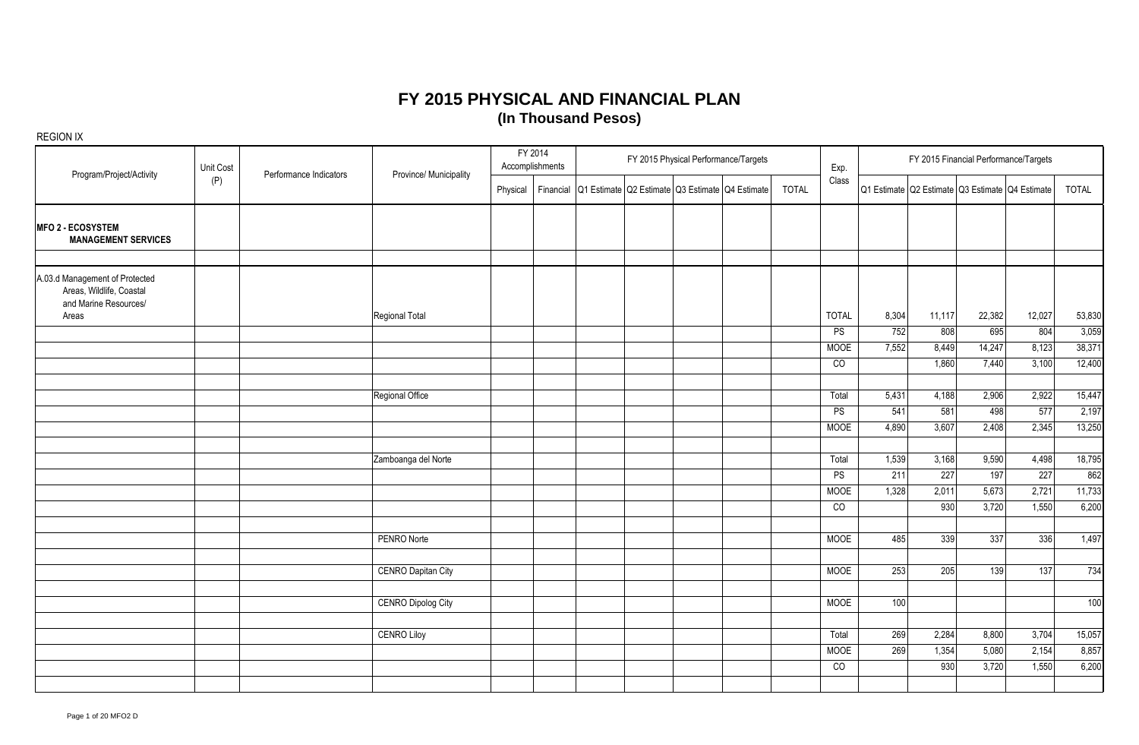|                                                                                              | Unit Cost | Performance Indicators |                           |          | FY 2014<br>Accomplishments |  | FY 2015 Physical Performance/Targets                      |              | Exp.         |                                                 |        |        | FY 2015 Financial Performance/Targets |        |
|----------------------------------------------------------------------------------------------|-----------|------------------------|---------------------------|----------|----------------------------|--|-----------------------------------------------------------|--------------|--------------|-------------------------------------------------|--------|--------|---------------------------------------|--------|
| Program/Project/Activity                                                                     | (P)       |                        | Province/ Municipality    | Physical |                            |  | Financial Q1 Estimate Q2 Estimate Q3 Estimate Q4 Estimate | <b>TOTAL</b> | Class        | Q1 Estimate Q2 Estimate Q3 Estimate Q4 Estimate |        |        |                                       | TOTAL  |
| <b>MFO 2 - ECOSYSTEM</b><br><b>MANAGEMENT SERVICES</b>                                       |           |                        |                           |          |                            |  |                                                           |              |              |                                                 |        |        |                                       |        |
| A.03.d Management of Protected<br>Areas, Wildlife, Coastal<br>and Marine Resources/<br>Areas |           |                        | Regional Total            |          |                            |  |                                                           |              | <b>TOTAL</b> | 8,304                                           | 11,117 | 22,382 | 12,027                                | 53,830 |
|                                                                                              |           |                        |                           |          |                            |  |                                                           |              | <b>PS</b>    | 752                                             | 808    | 695    | 804                                   | 3,059  |
|                                                                                              |           |                        |                           |          |                            |  |                                                           |              | MOOE         | 7,552                                           | 8,449  | 14,247 | 8,123                                 | 38,371 |
|                                                                                              |           |                        |                           |          |                            |  |                                                           |              | CO           |                                                 | 1,860  | 7,440  | 3,100                                 | 12,400 |
|                                                                                              |           |                        |                           |          |                            |  |                                                           |              |              |                                                 |        |        |                                       |        |
|                                                                                              |           |                        | Regional Office           |          |                            |  |                                                           |              | Total        | 5,431                                           | 4,188  | 2,906  | 2,922                                 | 15,447 |
|                                                                                              |           |                        |                           |          |                            |  |                                                           |              | PS           | 541                                             | 581    | 498    | 577                                   | 2,197  |
|                                                                                              |           |                        |                           |          |                            |  |                                                           |              | MOOE         | 4,890                                           | 3,607  | 2,408  | 2,345                                 | 13,250 |
|                                                                                              |           |                        |                           |          |                            |  |                                                           |              |              |                                                 |        |        |                                       |        |
|                                                                                              |           |                        | Zamboanga del Norte       |          |                            |  |                                                           |              | Total        | 1,539                                           | 3,168  | 9,590  | 4,498                                 | 18,795 |
|                                                                                              |           |                        |                           |          |                            |  |                                                           |              | PS           | 211                                             | 227    | 197    | 227                                   | 862    |
|                                                                                              |           |                        |                           |          |                            |  |                                                           |              | <b>MOOE</b>  | 1,328                                           | 2,011  | 5,673  | 2,721                                 | 11,733 |
|                                                                                              |           |                        |                           |          |                            |  |                                                           |              | CO           |                                                 | 930    | 3,720  | 1,550                                 | 6,200  |
|                                                                                              |           |                        |                           |          |                            |  |                                                           |              |              |                                                 |        |        |                                       |        |
|                                                                                              |           |                        | PENRO Norte               |          |                            |  |                                                           |              | MOOE         | 485                                             | 339    | 337    | 336                                   | 1,497  |
|                                                                                              |           |                        |                           |          |                            |  |                                                           |              |              |                                                 |        |        |                                       |        |
|                                                                                              |           |                        | <b>CENRO Dapitan City</b> |          |                            |  |                                                           |              | <b>MOOE</b>  | 253                                             | 205    | 139    | 137                                   | 734    |
|                                                                                              |           |                        |                           |          |                            |  |                                                           |              |              |                                                 |        |        |                                       |        |
|                                                                                              |           |                        | <b>CENRO Dipolog City</b> |          |                            |  |                                                           |              | MOOE         | 100                                             |        |        |                                       | 100    |
|                                                                                              |           |                        |                           |          |                            |  |                                                           |              |              |                                                 |        |        |                                       |        |
|                                                                                              |           |                        | <b>CENRO Liloy</b>        |          |                            |  |                                                           |              | Total        | 269                                             | 2,284  | 8,800  | 3,704                                 | 15,057 |
|                                                                                              |           |                        |                           |          |                            |  |                                                           |              | <b>MOOE</b>  | 269                                             | 1,354  | 5,080  | 2,154                                 | 8,857  |
|                                                                                              |           |                        |                           |          |                            |  |                                                           |              | CO           |                                                 | 930    | 3,720  | 1,550                                 | 6,200  |
|                                                                                              |           |                        |                           |          |                            |  |                                                           |              |              |                                                 |        |        |                                       |        |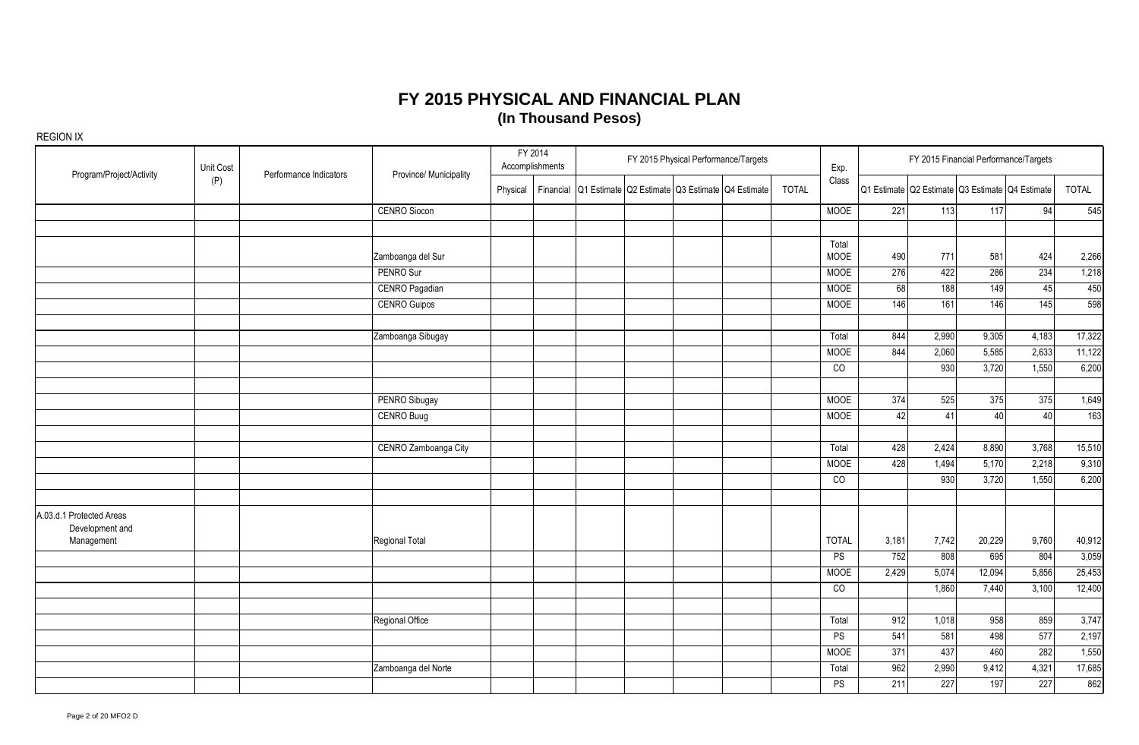|                               | Unit Cost<br>Performance Indicators<br>Program/Project/Activity<br>(P) |                      | Province/ Municipality |          | FY 2014<br>Accomplishments |  | FY 2015 Physical Performance/Targets                      |                | Exp.                 |                  |       |         | FY 2015 Financial Performance/Targets           |              |
|-------------------------------|------------------------------------------------------------------------|----------------------|------------------------|----------|----------------------------|--|-----------------------------------------------------------|----------------|----------------------|------------------|-------|---------|-------------------------------------------------|--------------|
|                               |                                                                        |                      |                        | Physical |                            |  | Financial Q1 Estimate Q2 Estimate Q3 Estimate Q4 Estimate | <b>TOTAL</b>   | Class                |                  |       |         | Q1 Estimate Q2 Estimate Q3 Estimate Q4 Estimate | <b>TOTAL</b> |
|                               |                                                                        |                      | <b>CENRO Siocon</b>    |          |                            |  |                                                           |                | <b>MOOE</b>          | 221              | 113   | 117     | 94                                              | 545          |
|                               |                                                                        |                      |                        |          |                            |  |                                                           |                |                      |                  |       |         |                                                 |              |
|                               |                                                                        |                      | Zamboanga del Sur      |          |                            |  |                                                           |                | Total<br><b>MOOE</b> | 490              | 771   | 581     | 424                                             | 2,266        |
|                               |                                                                        |                      | <b>PENRO Sur</b>       |          |                            |  |                                                           |                | <b>MOOE</b>          | 276              | 422   | 286     | 234                                             | 1,218        |
|                               |                                                                        |                      | CENRO Pagadian         |          |                            |  |                                                           |                | <b>MOOE</b>          | 68               | 188   | 149     | 45                                              | 450          |
|                               |                                                                        |                      | <b>CENRO Guipos</b>    |          |                            |  |                                                           |                | <b>MOOE</b>          | 146              | 161   | 146     | 145                                             | 598          |
|                               |                                                                        |                      | Zamboanga Sibugay      |          |                            |  |                                                           |                | Total                | 844              | 2,990 | 9,305   | 4,183                                           | 17,322       |
|                               |                                                                        |                      |                        |          |                            |  |                                                           |                | <b>MOOE</b>          | 844              | 2,060 | 5,585   | 2,633                                           | 11,122       |
|                               |                                                                        |                      |                        |          |                            |  |                                                           |                | CO                   |                  | 930   | $3,720$ | 1,550                                           | 6,200        |
|                               |                                                                        |                      | PENRO Sibugay          |          |                            |  |                                                           |                | <b>MOOE</b>          | 374              | 525   | 375     | 375                                             | 1,649        |
|                               | CENRO Buug                                                             |                      |                        |          |                            |  |                                                           | <b>MOOE</b>    | 42                   | 41               | 40    | 40      | 163                                             |              |
|                               |                                                                        |                      |                        |          |                            |  |                                                           |                |                      |                  |       |         |                                                 |              |
|                               |                                                                        | CENRO Zamboanga City |                        |          |                            |  |                                                           |                | Total                | 428              | 2,424 | 8,890   | 3,768                                           | 15,510       |
|                               |                                                                        |                      |                        |          |                            |  |                                                           |                | <b>MOOE</b>          | 428              | 1,494 | 5,170   | 2,218                                           | 9,310        |
|                               |                                                                        |                      |                        |          |                            |  |                                                           |                | $\overline{c}$       |                  | 930   | 3,720   | 1,550                                           | 6,200        |
| A.03.d.1 Protected Areas      |                                                                        |                      |                        |          |                            |  |                                                           |                |                      |                  |       |         |                                                 |              |
| Development and<br>Management |                                                                        |                      | Regional Total         |          |                            |  |                                                           |                | <b>TOTAL</b>         | 3,181            | 7,742 | 20,229  | 9,760                                           | 40,912       |
|                               |                                                                        |                      |                        |          |                            |  |                                                           |                | <b>PS</b>            | 752              | 808   | 695     | 804                                             | 3,059        |
|                               |                                                                        |                      |                        |          |                            |  |                                                           |                | <b>MOOE</b>          | 2,429            | 5,074 | 12,094  | 5,856                                           | 25,453       |
|                               |                                                                        |                      |                        |          |                            |  |                                                           | $\overline{c}$ |                      | 1,860            | 7,440 | 3,100   | 12,400                                          |              |
|                               |                                                                        |                      | Regional Office        |          |                            |  |                                                           |                | Total                | 912              | 1,018 | 958     | 859                                             | 3,747        |
|                               |                                                                        |                      |                        |          |                            |  |                                                           |                | <b>PS</b>            | 541              | 581   | 498     | $\overline{577}$                                | 2,197        |
|                               |                                                                        |                      |                        |          |                            |  |                                                           |                | <b>MOOE</b>          | $\overline{371}$ | 437   | 460     | 282                                             | 1,550        |
|                               |                                                                        |                      | Zamboanga del Norte    |          |                            |  |                                                           |                | Total                | 962              | 2,990 | 9,412   | 4,321                                           | 17,685       |
|                               |                                                                        |                      |                        |          |                            |  |                                                           |                | <b>PS</b>            | $\overline{211}$ | 227   | 197     | $\overline{227}$                                | 862          |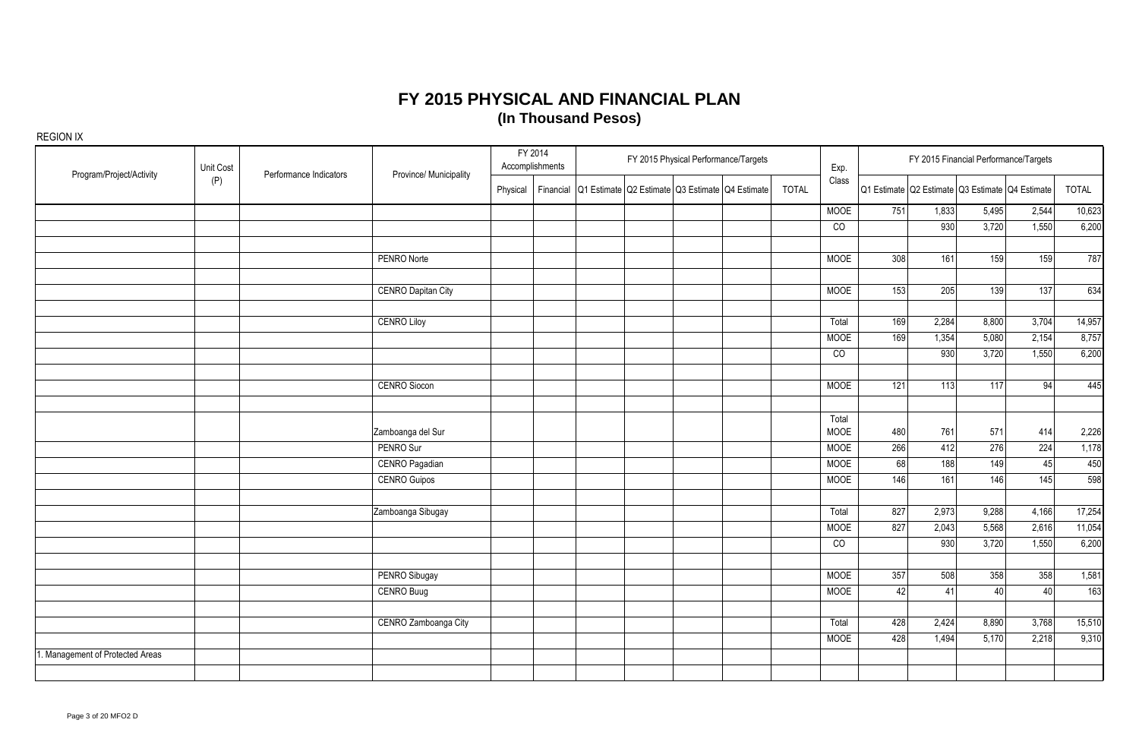| Program/Project/Activity      | Unit Cost | Performance Indicators | Province/ Municipality    |          | FY 2014<br>Accomplishments |  | FY 2015 Physical Performance/Targets                      |              | Exp.                 |            |              |                | FY 2015 Financial Performance/Targets           |                  |
|-------------------------------|-----------|------------------------|---------------------------|----------|----------------------------|--|-----------------------------------------------------------|--------------|----------------------|------------|--------------|----------------|-------------------------------------------------|------------------|
|                               | (P)       |                        |                           | Physical |                            |  | Financial Q1 Estimate Q2 Estimate Q3 Estimate Q4 Estimate | <b>TOTAL</b> | Class                |            |              |                | Q1 Estimate Q2 Estimate Q3 Estimate Q4 Estimate | <b>TOTAL</b>     |
|                               |           |                        |                           |          |                            |  |                                                           |              | <b>MOOE</b>          | 751        | 1,833        | 5,495          | 2,544                                           | 10,623           |
|                               |           |                        |                           |          |                            |  |                                                           |              | CO                   |            | 930          | 3,720          | 1,550                                           | 6,200            |
|                               |           |                        |                           |          |                            |  |                                                           |              |                      |            |              |                |                                                 |                  |
|                               |           |                        | PENRO Norte               |          |                            |  |                                                           |              | MOOE                 | 308        | 161          | 159            | 159                                             | 787              |
|                               |           |                        |                           |          |                            |  |                                                           |              |                      |            |              |                |                                                 |                  |
|                               |           |                        | <b>CENRO Dapitan City</b> |          |                            |  |                                                           |              | <b>MOOE</b>          | 153        | 205          | 139            | 137                                             | 634              |
|                               |           |                        |                           |          |                            |  |                                                           |              |                      |            |              |                |                                                 |                  |
|                               |           |                        | <b>CENRO Liloy</b>        |          |                            |  |                                                           |              | Total                | 169        | 2,284        | 8,800          | 3,704                                           | 14,957           |
|                               |           |                        |                           |          |                            |  |                                                           |              | <b>MOOE</b>          | 169        | 1,354        | 5,080          | 2,154                                           | 8,757            |
|                               |           |                        |                           |          |                            |  |                                                           |              | CO                   |            | 930          | 3,720          | 1,550                                           | 6,200            |
|                               |           |                        | <b>CENRO Siocon</b>       |          |                            |  |                                                           |              | <b>MOOE</b>          | 121        | 113          | 117            | 94                                              | 445              |
|                               |           |                        |                           |          |                            |  |                                                           |              |                      |            |              |                |                                                 |                  |
|                               |           |                        |                           |          |                            |  |                                                           |              | Total                |            |              |                |                                                 |                  |
|                               |           |                        | Zamboanga del Sur         |          |                            |  |                                                           |              | MOOE                 | 480        | 761          | 571            | 414                                             | 2,226            |
|                               |           |                        | PENRO Sur                 |          |                            |  |                                                           |              | <b>MOOE</b>          | 266        | 412          | 276            | 224                                             | 1,178            |
|                               |           |                        | CENRO Pagadian            |          |                            |  |                                                           |              | <b>MOOE</b>          | 68         | 188          | 149            | 45                                              | 450              |
|                               |           |                        | <b>CENRO Guipos</b>       |          |                            |  |                                                           |              | <b>MOOE</b>          | 146        | 161          | 146            | $\boxed{145}$                                   | 598              |
|                               |           |                        |                           |          |                            |  |                                                           |              |                      |            |              |                |                                                 |                  |
|                               |           |                        | Zamboanga Sibugay         |          |                            |  |                                                           |              | Total<br><b>MOOE</b> | 827<br>827 | 2,973        | 9,288<br>5,568 | 4,166                                           | 17,254<br>11,054 |
|                               |           |                        |                           |          |                            |  |                                                           |              |                      |            | 2,043<br>930 | 3,720          | 2,616<br>1,550                                  | 6,200            |
|                               |           |                        |                           |          |                            |  |                                                           |              | CO                   |            |              |                |                                                 |                  |
|                               |           |                        | PENRO Sibugay             |          |                            |  |                                                           |              | <b>MOOE</b>          | 357        | 508          | 358            | 358                                             | 1,581            |
|                               |           |                        | CENRO Buug                |          |                            |  |                                                           |              | MOOE                 | 42         | 41           | 40             | 40                                              | 163              |
|                               |           |                        |                           |          |                            |  |                                                           |              |                      |            |              |                |                                                 |                  |
|                               |           |                        | CENRO Zamboanga City      |          |                            |  |                                                           |              | Total                | 428        | 2,424        | 8,890          | 3,768                                           | 15,510           |
|                               |           |                        |                           |          |                            |  |                                                           |              | MOOE                 | 428        | 1,494        | 5,170          | 2,218                                           | 9,310            |
| Management of Protected Areas |           |                        |                           |          |                            |  |                                                           |              |                      |            |              |                |                                                 |                  |
|                               |           |                        |                           |          |                            |  |                                                           |              |                      |            |              |                |                                                 |                  |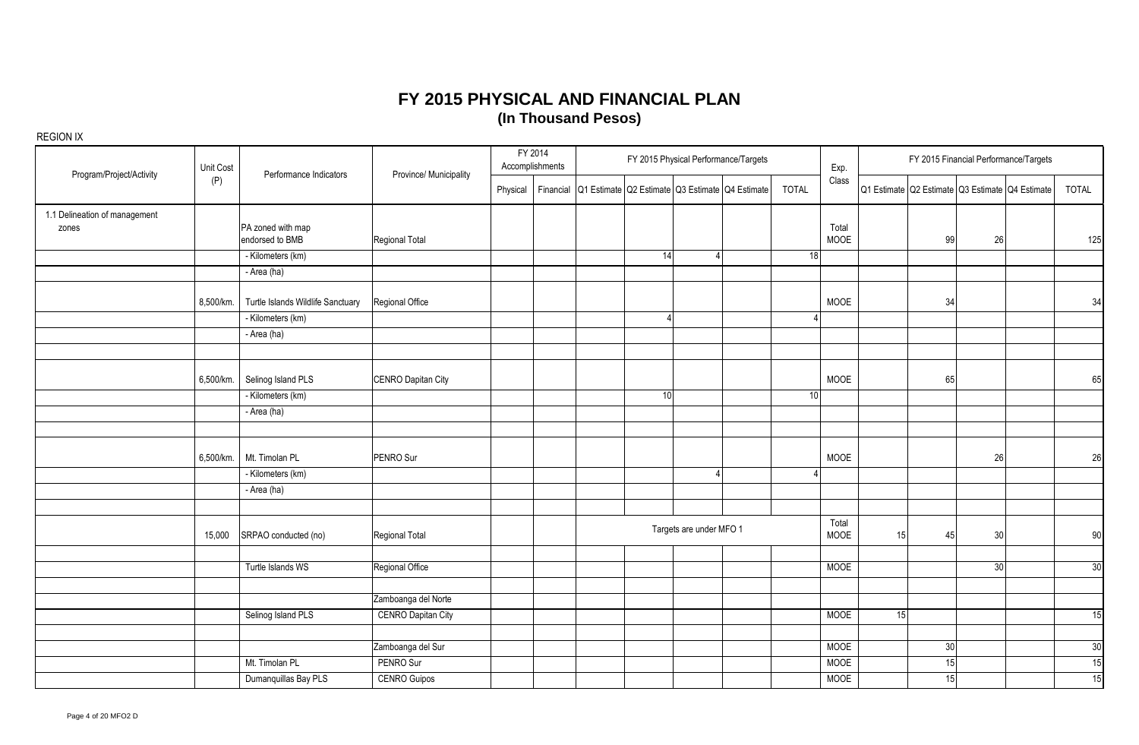| Program/Project/Activity      | Unit Cost | Performance Indicators            | Province/ Municipality    |          | FY 2014<br>Accomplishments | FY 2015 Physical Performance/Targets |    |                         | Exp.                                                      |              |               | FY 2015 Financial Performance/Targets |                                                 |    |              |
|-------------------------------|-----------|-----------------------------------|---------------------------|----------|----------------------------|--------------------------------------|----|-------------------------|-----------------------------------------------------------|--------------|---------------|---------------------------------------|-------------------------------------------------|----|--------------|
|                               | (P)       |                                   |                           | Physical |                            |                                      |    |                         | Financial Q1 Estimate Q2 Estimate Q3 Estimate Q4 Estimate | <b>TOTAL</b> | Class         |                                       | Q1 Estimate Q2 Estimate Q3 Estimate Q4 Estimate |    | <b>TOTAL</b> |
| 1.1 Delineation of management |           |                                   |                           |          |                            |                                      |    |                         |                                                           |              |               |                                       |                                                 |    |              |
| zones                         |           | PA zoned with map                 |                           |          |                            |                                      |    |                         |                                                           |              | Total         |                                       |                                                 |    |              |
|                               |           | endorsed to BMB                   | Regional Total            |          |                            |                                      |    |                         |                                                           |              | <b>MOOE</b>   |                                       | 99                                              | 26 | 125          |
|                               |           | - Kilometers (km)                 |                           |          |                            |                                      | 14 |                         |                                                           | 18           |               |                                       |                                                 |    |              |
|                               |           | - Area (ha)                       |                           |          |                            |                                      |    |                         |                                                           |              |               |                                       |                                                 |    |              |
|                               | 8,500/km. | Turtle Islands Wildlife Sanctuary | Regional Office           |          |                            |                                      |    |                         |                                                           |              | MOOE          |                                       | 34                                              |    | 34           |
|                               |           | - Kilometers (km)                 |                           |          |                            |                                      |    |                         |                                                           |              |               |                                       |                                                 |    |              |
|                               |           | - Area (ha)                       |                           |          |                            |                                      |    |                         |                                                           |              |               |                                       |                                                 |    |              |
|                               |           |                                   |                           |          |                            |                                      |    |                         |                                                           |              |               |                                       |                                                 |    |              |
|                               |           |                                   |                           |          |                            |                                      |    |                         |                                                           |              |               |                                       |                                                 |    |              |
|                               | 6,500/km. | Selinog Island PLS                | <b>CENRO Dapitan City</b> |          |                            |                                      |    |                         |                                                           |              | MOOE          |                                       | 65                                              |    | 65           |
|                               |           | - Kilometers (km)                 |                           |          |                            |                                      | 10 |                         |                                                           | 10           |               |                                       |                                                 |    |              |
|                               |           | - Area (ha)                       |                           |          |                            |                                      |    |                         |                                                           |              |               |                                       |                                                 |    |              |
|                               |           |                                   |                           |          |                            |                                      |    |                         |                                                           |              |               |                                       |                                                 |    |              |
|                               | 6,500/km. | Mt. Timolan PL                    | PENRO Sur                 |          |                            |                                      |    |                         |                                                           |              | <b>MOOE</b>   |                                       |                                                 | 26 | 26           |
|                               |           | - Kilometers (km)                 |                           |          |                            |                                      |    |                         |                                                           |              |               |                                       |                                                 |    |              |
|                               |           | - Area (ha)                       |                           |          |                            |                                      |    |                         |                                                           |              |               |                                       |                                                 |    |              |
|                               |           |                                   |                           |          |                            |                                      |    |                         |                                                           |              |               |                                       |                                                 |    |              |
|                               | 15,000    | SRPAO conducted (no)              | Regional Total            |          |                            |                                      |    | Targets are under MFO 1 |                                                           |              | Total<br>MOOE | 15                                    | 45                                              | 30 | 90           |
|                               |           |                                   |                           |          |                            |                                      |    |                         |                                                           |              |               |                                       |                                                 |    |              |
|                               |           | Turtle Islands WS                 | Regional Office           |          |                            |                                      |    |                         |                                                           |              | <b>MOOE</b>   |                                       |                                                 | 30 | 30           |
|                               |           |                                   |                           |          |                            |                                      |    |                         |                                                           |              |               |                                       |                                                 |    |              |
|                               |           |                                   | Zamboanga del Norte       |          |                            |                                      |    |                         |                                                           |              |               |                                       |                                                 |    |              |
|                               |           | Selinog Island PLS                | <b>CENRO Dapitan City</b> |          |                            |                                      |    |                         |                                                           |              | <b>MOOE</b>   | 15                                    |                                                 |    | 15           |
|                               |           |                                   |                           |          |                            |                                      |    |                         |                                                           |              |               |                                       |                                                 |    |              |
|                               |           |                                   | Zamboanga del Sur         |          |                            |                                      |    |                         |                                                           |              | <b>MOOE</b>   |                                       | 30                                              |    | 30           |
|                               |           | Mt. Timolan PL                    | PENRO Sur                 |          |                            |                                      |    |                         |                                                           |              | <b>MOOE</b>   |                                       | 15                                              |    | 15           |
|                               |           | Dumanquillas Bay PLS              | <b>CENRO Guipos</b>       |          |                            |                                      |    |                         |                                                           |              | <b>MOOE</b>   |                                       | 15                                              |    | 15           |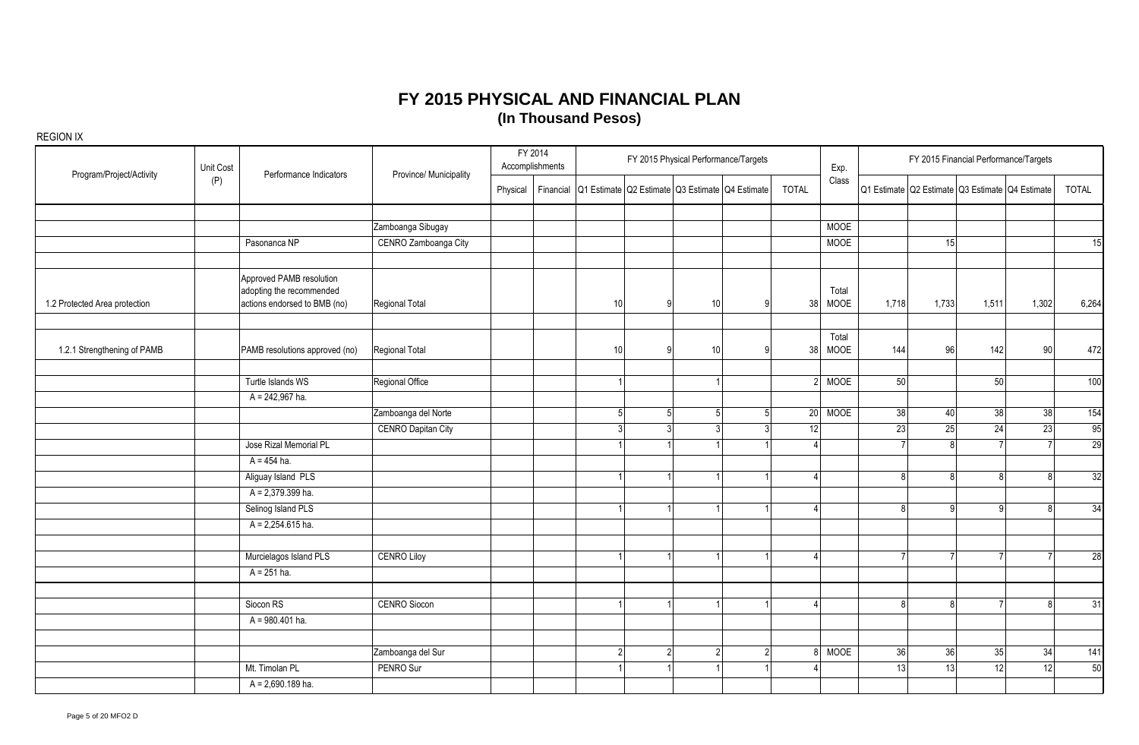| Program/Project/Activity      | Unit Cost | Performance Indicators                                                               | Province/ Municipality    |          | FY 2014<br>Accomplishments |                                                           |                |               | FY 2015 Physical Performance/Targets |                        | Exp.          |                |                                                 |                | FY 2015 Financial Performance/Targets |                  |
|-------------------------------|-----------|--------------------------------------------------------------------------------------|---------------------------|----------|----------------------------|-----------------------------------------------------------|----------------|---------------|--------------------------------------|------------------------|---------------|----------------|-------------------------------------------------|----------------|---------------------------------------|------------------|
|                               | (P)       |                                                                                      |                           | Physical |                            | Financial Q1 Estimate Q2 Estimate Q3 Estimate Q4 Estimate |                |               |                                      | <b>TOTAL</b>           | Class         |                | Q1 Estimate Q2 Estimate Q3 Estimate Q4 Estimate |                |                                       | TOTAL            |
|                               |           |                                                                                      |                           |          |                            |                                                           |                |               |                                      |                        |               |                |                                                 |                |                                       |                  |
|                               |           |                                                                                      | Zamboanga Sibugay         |          |                            |                                                           |                |               |                                      |                        | <b>MOOE</b>   |                |                                                 |                |                                       |                  |
|                               |           | Pasonanca NP                                                                         | CENRO Zamboanga City      |          |                            |                                                           |                |               |                                      |                        | <b>MOOE</b>   |                | 15                                              |                |                                       | 15               |
|                               |           |                                                                                      |                           |          |                            |                                                           |                |               |                                      |                        |               |                |                                                 |                |                                       |                  |
| 1.2 Protected Area protection |           | Approved PAMB resolution<br>adopting the recommended<br>actions endorsed to BMB (no) | Regional Total            |          |                            | 10 <sup>1</sup>                                           | a              | 10            |                                      | 38 <sup>1</sup>        | Total<br>MOOE | 1,718          | 1,733                                           | 1,511          | 1,302                                 | 6,264            |
|                               |           |                                                                                      |                           |          |                            |                                                           |                |               |                                      |                        |               |                |                                                 |                |                                       |                  |
| 1.2.1 Strengthening of PAMB   |           | PAMB resolutions approved (no)                                                       | Regional Total            |          |                            | 10                                                        |                | 10            |                                      | 38                     | Total<br>MOOE | 144            | 96                                              | 142            | 90 <sup>°</sup>                       | 472              |
|                               |           |                                                                                      |                           |          |                            |                                                           |                |               |                                      |                        |               |                |                                                 |                |                                       |                  |
|                               |           | Turtle Islands WS                                                                    | Regional Office           |          |                            |                                                           |                |               |                                      |                        | $2$ MOOE      | 50             |                                                 | 50             |                                       | 100              |
|                               |           | $A = 242,967$ ha.                                                                    |                           |          |                            |                                                           |                |               |                                      |                        |               |                |                                                 |                |                                       |                  |
|                               |           |                                                                                      | Zamboanga del Norte       |          |                            | 5                                                         | 5              | $\sqrt{2}$    |                                      | 20                     | <b>MOOE</b>   | 38             | 40                                              | 38             | 38                                    | 154              |
|                               |           |                                                                                      | <b>CENRO Dapitan City</b> |          |                            |                                                           | 3              |               |                                      | 12                     |               | 23             | 25                                              | 24             | 23                                    | 95               |
|                               |           | Jose Rizal Memorial PL                                                               |                           |          |                            |                                                           |                |               |                                      |                        |               |                | 8                                               |                |                                       | 29               |
|                               |           | $A = 454$ ha.                                                                        |                           |          |                            |                                                           |                |               |                                      |                        |               |                |                                                 |                |                                       |                  |
|                               |           | Aliguay Island PLS                                                                   |                           |          |                            |                                                           |                |               |                                      |                        |               | <sub>R</sub>   | $\mathsf{R}$                                    | 8              | R                                     | 32               |
|                               |           | $A = 2,379.399$ ha.                                                                  |                           |          |                            |                                                           |                |               |                                      |                        |               |                |                                                 |                |                                       |                  |
|                               |           | Selinog Island PLS                                                                   |                           |          |                            |                                                           |                |               |                                      |                        |               | $\mathsf{R}$   | 9                                               | <b>q</b>       |                                       | 34               |
|                               |           | A = 2,254.615 ha.                                                                    |                           |          |                            |                                                           |                |               |                                      |                        |               |                |                                                 |                |                                       |                  |
|                               |           |                                                                                      |                           |          |                            |                                                           |                |               |                                      |                        |               |                |                                                 |                |                                       |                  |
|                               |           | Murcielagos Island PLS                                                               | <b>CENRO Liloy</b>        |          |                            |                                                           |                |               |                                      | $\boldsymbol{\Lambda}$ |               |                |                                                 | $\overline{7}$ |                                       | 28               |
|                               |           | $A = 251$ ha.                                                                        |                           |          |                            |                                                           |                |               |                                      |                        |               |                |                                                 |                |                                       |                  |
|                               |           |                                                                                      |                           |          |                            |                                                           |                |               |                                      |                        |               |                |                                                 |                |                                       |                  |
|                               |           | Siocon RS                                                                            | <b>CENRO Siocon</b>       |          |                            |                                                           |                |               |                                      |                        |               | 8 <sup>1</sup> | $\mathsf{R}$                                    | $\overline{7}$ | $\mathsf{R}$                          | 31               |
|                               |           | A = 980.401 ha.                                                                      |                           |          |                            |                                                           |                |               |                                      |                        |               |                |                                                 |                |                                       |                  |
|                               |           |                                                                                      |                           |          |                            |                                                           |                |               |                                      |                        |               |                |                                                 |                |                                       |                  |
|                               |           |                                                                                      | Zamboanga del Sur         |          |                            | 2                                                         | $\overline{2}$ | $\mathcal{D}$ | っ                                    | 8                      | <b>MOOE</b>   | 36             | 36                                              | 35             | 34                                    | $\overline{141}$ |
|                               |           | Mt. Timolan PL                                                                       | PENRO Sur                 |          |                            |                                                           |                |               |                                      |                        |               | 13             | 13                                              | 12             | 12                                    | 50               |
|                               |           | $A = 2,690.189$ ha.                                                                  |                           |          |                            |                                                           |                |               |                                      |                        |               |                |                                                 |                |                                       |                  |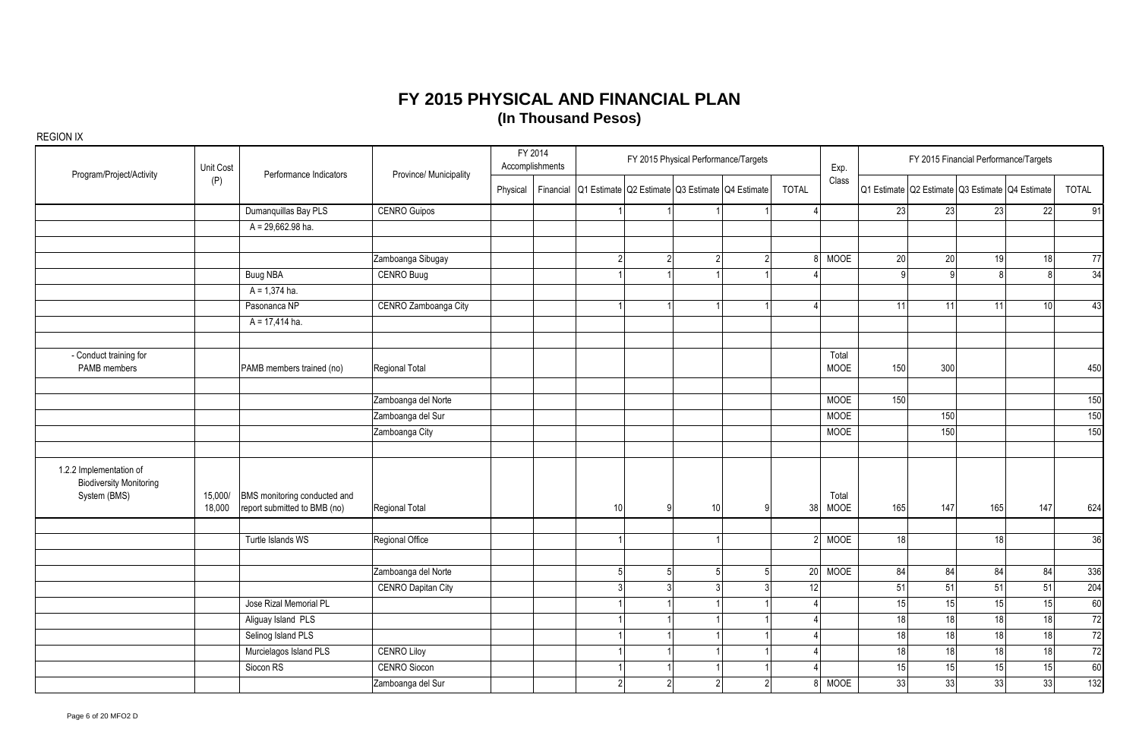| Program/Project/Activity                                                  | Unit Cost         | Performance Indicators                                       | Province/ Municipality    |          | FY 2014<br>Accomplishments |                                                           |                |                | FY 2015 Physical Performance/Targets |                | Exp.                 |          |          |                 | FY 2015 Financial Performance/Targets           |              |
|---------------------------------------------------------------------------|-------------------|--------------------------------------------------------------|---------------------------|----------|----------------------------|-----------------------------------------------------------|----------------|----------------|--------------------------------------|----------------|----------------------|----------|----------|-----------------|-------------------------------------------------|--------------|
|                                                                           | (P)               |                                                              |                           | Physical |                            | Financial Q1 Estimate Q2 Estimate Q3 Estimate Q4 Estimate |                |                |                                      | <b>TOTAL</b>   | Class                |          |          |                 | Q1 Estimate Q2 Estimate Q3 Estimate Q4 Estimate | <b>TOTAL</b> |
|                                                                           |                   | Dumanquillas Bay PLS                                         | <b>CENRO Guipos</b>       |          |                            |                                                           |                |                |                                      |                |                      | 23       | 23       | 23 <sup>1</sup> | 22                                              | 91           |
|                                                                           |                   | $A = 29,662.98$ ha.                                          |                           |          |                            |                                                           |                |                |                                      |                |                      |          |          |                 |                                                 |              |
|                                                                           |                   |                                                              |                           |          |                            |                                                           |                |                |                                      |                |                      |          |          |                 |                                                 |              |
|                                                                           |                   |                                                              | Zamboanga Sibugay         |          |                            | 2                                                         | $\overline{2}$ | $\overline{2}$ |                                      | 8I             | <b>MOOE</b>          | 20       | 20       | 19              | 18                                              | 77           |
|                                                                           |                   | <b>Buug NBA</b>                                              | <b>CENRO Buug</b>         |          |                            |                                                           |                |                |                                      |                |                      | $\Omega$ | $\alpha$ | 8               | $\mathsf{R}$                                    | 34           |
|                                                                           |                   | $A = 1,374$ ha.                                              |                           |          |                            |                                                           |                |                |                                      |                |                      |          |          |                 |                                                 |              |
|                                                                           |                   | Pasonanca NP                                                 | CENRO Zamboanga City      |          |                            |                                                           |                |                |                                      |                |                      | 11       | 11       | 11              | 10                                              | 43           |
|                                                                           |                   | $A = 17,414$ ha.                                             |                           |          |                            |                                                           |                |                |                                      |                |                      |          |          |                 |                                                 |              |
|                                                                           |                   |                                                              |                           |          |                            |                                                           |                |                |                                      |                |                      |          |          |                 |                                                 |              |
| - Conduct training for<br>PAMB members                                    |                   | PAMB members trained (no)                                    | Regional Total            |          |                            |                                                           |                |                |                                      |                | Total<br><b>MOOE</b> | 150      | 300      |                 |                                                 | 450          |
|                                                                           |                   |                                                              |                           |          |                            |                                                           |                |                |                                      |                |                      |          |          |                 |                                                 |              |
|                                                                           |                   |                                                              | Zamboanga del Norte       |          |                            |                                                           |                |                |                                      |                | <b>MOOE</b>          | 150      |          |                 |                                                 | 150          |
|                                                                           |                   |                                                              | Zamboanga del Sur         |          |                            |                                                           |                |                |                                      |                | <b>MOOE</b>          |          | 150      |                 |                                                 | 150          |
|                                                                           |                   |                                                              | Zamboanga City            |          |                            |                                                           |                |                |                                      |                | <b>MOOE</b>          |          | 150      |                 |                                                 | 150          |
|                                                                           |                   |                                                              |                           |          |                            |                                                           |                |                |                                      |                |                      |          |          |                 |                                                 |              |
| 1.2.2 Implementation of<br><b>Biodiversity Monitoring</b><br>System (BMS) | 15,000/<br>18,000 | BMS monitoring conducted and<br>report submitted to BMB (no) | Regional Total            |          |                            | 10                                                        | q              | 10             |                                      | 38             | Total<br>MOOE        | 165      | 147      | 165             | 147                                             | 624          |
|                                                                           |                   | Turtle Islands WS                                            | Regional Office           |          |                            |                                                           |                |                |                                      | $\overline{2}$ | <b>MOOE</b>          | 18       |          | 18              |                                                 | 36           |
|                                                                           |                   |                                                              |                           |          |                            |                                                           |                |                |                                      |                |                      |          |          |                 |                                                 |              |
|                                                                           |                   |                                                              | Zamboanga del Norte       |          |                            |                                                           | 5              | 5 <sup>1</sup> | 51                                   | 20             | <b>MOOE</b>          | 84       | 84       | 84              | 84                                              | 336          |
|                                                                           |                   |                                                              | <b>CENRO Dapitan City</b> |          |                            |                                                           | 3              | $\overline{3}$ |                                      | 12             |                      | 51       | 51       | 51              | 51                                              | 204          |
|                                                                           |                   | Jose Rizal Memorial PL                                       |                           |          |                            |                                                           |                |                |                                      |                |                      | 15       | 15       | 15              | 15                                              | 60           |
|                                                                           |                   | Aliguay Island PLS                                           |                           |          |                            |                                                           |                |                |                                      |                |                      | 18       | 18       | 18              | 18                                              | 72           |
|                                                                           |                   | Selinog Island PLS                                           |                           |          |                            |                                                           |                |                |                                      |                |                      | 18       | 18       | 18              | 18                                              | 72           |
|                                                                           |                   | Murcielagos Island PLS                                       | <b>CENRO Liloy</b>        |          |                            |                                                           |                |                |                                      |                |                      | 18       | 18       | 18              | 18                                              | 72           |
|                                                                           |                   | Siocon RS                                                    | <b>CENRO Siocon</b>       |          |                            |                                                           |                |                |                                      |                |                      | 15       | 15       | 15              | 15                                              | 60           |
|                                                                           |                   |                                                              | Zamboanga del Sur         |          |                            | $\overline{2}$                                            | 2              | 2 <sup>1</sup> | 2                                    |                | 8 MOOE               | 33       | 33       | 33              | 33                                              | 132          |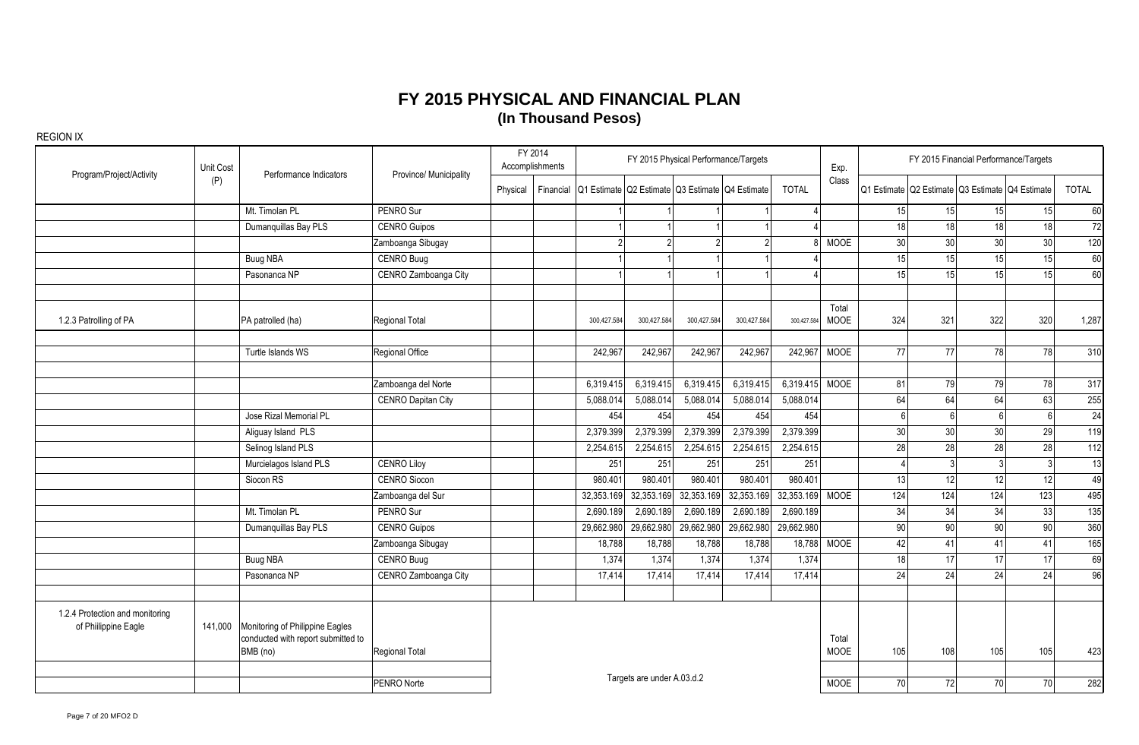| Program/Project/Activity                               | Unit Cost | Performance Indicators                                                            | Province/ Municipality    |          | FY 2014<br>Accomplishments |                                                 |                            | FY 2015 Physical Performance/Targets |             |              | Exp.                 |                 |                 |                                                 | FY 2015 Financial Performance/Targets |       |
|--------------------------------------------------------|-----------|-----------------------------------------------------------------------------------|---------------------------|----------|----------------------------|-------------------------------------------------|----------------------------|--------------------------------------|-------------|--------------|----------------------|-----------------|-----------------|-------------------------------------------------|---------------------------------------|-------|
|                                                        | (P)       |                                                                                   |                           | Physical | Financial                  | Q1 Estimate Q2 Estimate Q3 Estimate Q4 Estimate |                            |                                      |             | <b>TOTAL</b> | Class                |                 |                 | Q1 Estimate Q2 Estimate Q3 Estimate Q4 Estimate |                                       | TOTAL |
|                                                        |           | Mt. Timolan PL                                                                    | PENRO Sur                 |          |                            |                                                 |                            |                                      |             |              |                      | 15              | 15              | 15                                              | 15                                    | 60    |
|                                                        |           | Dumanquillas Bay PLS                                                              | <b>CENRO Guipos</b>       |          |                            |                                                 |                            |                                      |             |              |                      | 18              | 18              | 18                                              | 18                                    | 72    |
|                                                        |           |                                                                                   | Zamboanga Sibugay         |          |                            |                                                 | 2                          |                                      |             |              | <b>MOOE</b>          | 30 <sup>1</sup> | 30              | 30                                              | 30                                    | 120   |
|                                                        |           | <b>Buug NBA</b>                                                                   | <b>CENRO Buug</b>         |          |                            |                                                 |                            |                                      |             |              |                      | 15              | 15              | 15                                              | 15                                    | 60    |
|                                                        |           | Pasonanca NP                                                                      | CENRO Zamboanga City      |          |                            |                                                 |                            |                                      |             |              |                      | 15              | 15              | 15                                              | 15                                    | 60    |
| 1.2.3 Patrolling of PA                                 |           | PA patrolled (ha)                                                                 | Regional Total            |          |                            | 300,427.584                                     | 300,427.584                | 300,427.584                          | 300,427.584 | 300.427.584  | Total<br><b>MOOE</b> | 324             | 321             | 322                                             | 320                                   | 1,287 |
|                                                        |           | Turtle Islands WS                                                                 | Regional Office           |          |                            | 242,967                                         | 242,967                    | 242,967                              | 242,967     | 242,967      | MOOE                 | 77              | 77              | 78                                              | 78                                    | 310   |
|                                                        |           |                                                                                   | Zamboanga del Norte       |          |                            | 6,319.415                                       | 6,319.415                  | 6,319.415                            | 6,319.415   | 6,319.415    | <b>MOOE</b>          | 81              | 79              | 79                                              | 78                                    | 317   |
|                                                        |           |                                                                                   | <b>CENRO Dapitan City</b> |          |                            | 5,088.014                                       | 5,088.014                  | 5,088.014                            | 5,088.014   | 5,088.014    |                      | 64              | 64              | 64                                              | 63                                    | 255   |
|                                                        |           | Jose Rizal Memorial PL                                                            |                           |          |                            | 454                                             | 454                        | 454                                  | 454         | 454          |                      |                 | 6               | 6                                               | 6                                     | 24    |
|                                                        |           | Aliguay Island PLS                                                                |                           |          |                            | 2,379.399                                       | 2,379.399                  | 2,379.399                            | 2,379.399   | 2,379.399    |                      | 30 <sup>°</sup> | 30              | 30                                              | 29                                    | 119   |
|                                                        |           | Selinog Island PLS                                                                |                           |          |                            | 2,254.615                                       | 2,254.615                  | 2,254.615                            | 2,254.615   | 2,254.615    |                      | 28              | $\overline{28}$ | 28                                              | $\overline{28}$                       | 112   |
|                                                        |           | Murcielagos Island PLS                                                            | <b>CENRO Liloy</b>        |          |                            | 251                                             | 251                        | 251                                  | 251         | 251          |                      |                 | $\mathbf{3}$    |                                                 |                                       | 13    |
|                                                        |           | Siocon RS                                                                         | <b>CENRO Siocon</b>       |          |                            | 980.40 <sup>-</sup>                             | 980.401                    | 980.401                              | 980.401     | 980.401      |                      | 13              | 12              | 12                                              | 12                                    | 49    |
|                                                        |           |                                                                                   | Zamboanga del Sur         |          |                            | 32,353.169                                      | 32,353.169                 | 32,353.169                           | 32,353.169  | 32,353.169   | <b>MOOE</b>          | 124             | 124             | 124                                             | 123                                   | 495   |
|                                                        |           | Mt. Timolan PL                                                                    | PENRO Sur                 |          |                            | 2,690.189                                       | 2,690.189                  | 2,690.189                            | 2,690.189   | 2,690.189    |                      | 34              | 34              | $\overline{34}$                                 | 33                                    | 135   |
|                                                        |           | Dumanquillas Bay PLS                                                              | <b>CENRO Guipos</b>       |          |                            | 29,662.980                                      | 29,662.980                 | 29,662.980                           | 29,662.980  | 29,662.980   |                      | 90              | 90              | 90                                              | 90                                    | 360   |
|                                                        |           |                                                                                   | Zamboanga Sibugay         |          |                            | 18,788                                          | 18,788                     | 18,788                               | 18,788      | 18,788       | <b>MOOE</b>          | 42              | 41              | 41                                              | 41                                    | 165   |
|                                                        |           | <b>Buug NBA</b>                                                                   | CENRO Buug                |          |                            | 1,374                                           | 1,374                      | 1,374                                | 1,374       | 1,374        |                      | 18              | 17              | 17                                              | 17                                    | 69    |
|                                                        |           | Pasonanca NP                                                                      | CENRO Zamboanga City      |          |                            | 17,414                                          | 17,414                     | 17,414                               | 17,414      | 17,414       |                      | 24              | 24              | 24                                              | 24                                    | 96    |
| 1.2.4 Protection and monitoring<br>of Philippine Eagle | 141.000   | Monitoring of Philippine Eagles<br>conducted with report submitted to<br>BMB (no) | <b>Regional Total</b>     |          |                            |                                                 |                            |                                      |             |              | Total<br><b>MOOE</b> | 105             | 108             | 105                                             | 105                                   | 423   |
|                                                        |           |                                                                                   | PENRO Norte               |          |                            |                                                 | Targets are under A.03.d.2 |                                      | <b>MOOE</b> | 70           | 72                   | 70              | 70              | 282                                             |                                       |       |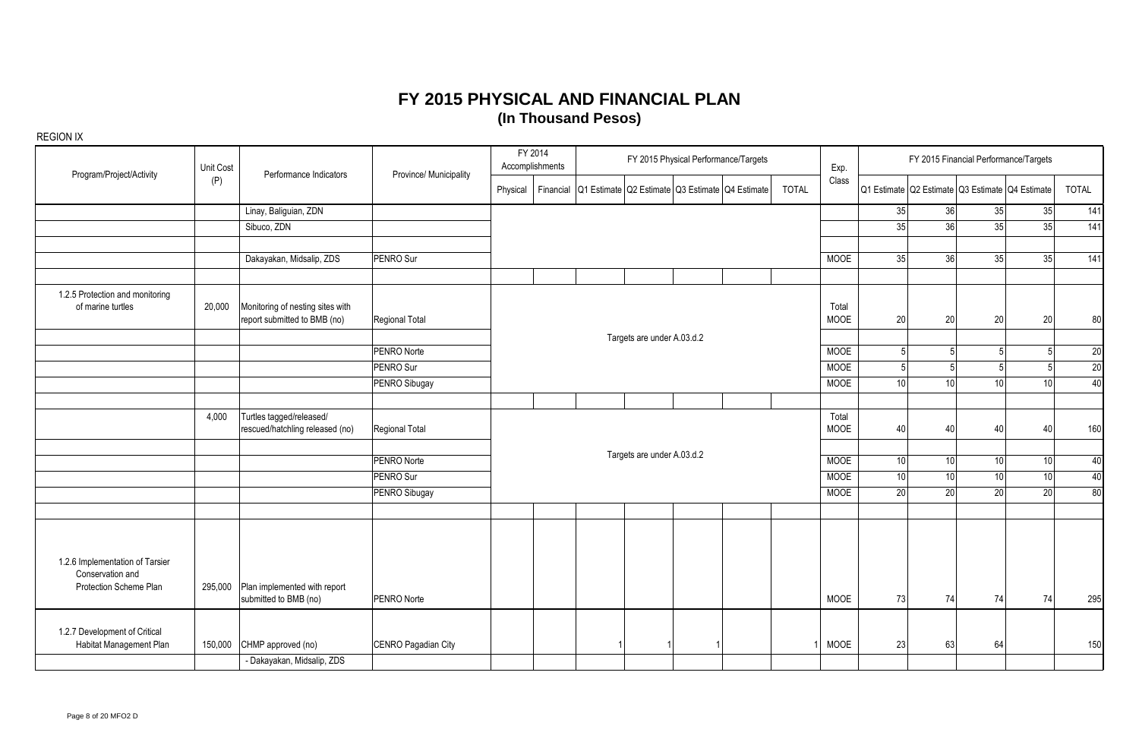| Program/Project/Activity<br>Performance Indicators<br>Province/ Municipality<br>(P)<br>Class<br>Q1 Estimate Q2 Estimate Q3 Estimate Q4 Estimate<br>Q1 Estimate Q2 Estimate Q3 Estimate Q4 Estimate<br><b>TOTAL</b><br>Physical<br>Financial<br>35<br>36<br>Linay, Baliguian, ZDN<br>35<br>36<br>Sibuco, ZDN<br>35<br>36<br>PENRO Sur<br><b>MOOE</b><br>Dakayakan, Midsalip, ZDS<br>1.2.5 Protection and monitoring<br>of marine turtles<br>20,000<br>Monitoring of nesting sites with<br>Total<br>report submitted to BMB (no)<br>20<br>$20\,$<br>MOOE<br>Regional Total<br>Targets are under A.03.d.2<br>PENRO Norte<br><b>MOOE</b><br>5 <sup>1</sup><br>5 <sup>1</sup><br>PENRO Sur<br><b>MOOE</b><br>5<br>10<br>PENRO Sibugay<br>MOOE<br>10 <sup>1</sup><br>Turtles tagged/released/<br>4,000<br>Total<br>rescued/hatchling released (no)<br>Regional Total<br><b>MOOE</b><br>40<br>40<br>Targets are under A.03.d.2<br><b>MOOE</b><br>10<br>PENRO Norte<br>10 <sup>1</sup><br>10<br>PENRO Sur<br><b>MOOE</b><br>10<br>20<br><b>MOOE</b><br>$\overline{20}$<br>PENRO Sibugay | <b>TOTAL</b>                             |
|---------------------------------------------------------------------------------------------------------------------------------------------------------------------------------------------------------------------------------------------------------------------------------------------------------------------------------------------------------------------------------------------------------------------------------------------------------------------------------------------------------------------------------------------------------------------------------------------------------------------------------------------------------------------------------------------------------------------------------------------------------------------------------------------------------------------------------------------------------------------------------------------------------------------------------------------------------------------------------------------------------------------------------------------------------------------------------|------------------------------------------|
|                                                                                                                                                                                                                                                                                                                                                                                                                                                                                                                                                                                                                                                                                                                                                                                                                                                                                                                                                                                                                                                                                 |                                          |
|                                                                                                                                                                                                                                                                                                                                                                                                                                                                                                                                                                                                                                                                                                                                                                                                                                                                                                                                                                                                                                                                                 | 35<br>35<br>141                          |
|                                                                                                                                                                                                                                                                                                                                                                                                                                                                                                                                                                                                                                                                                                                                                                                                                                                                                                                                                                                                                                                                                 | 35<br>35<br>141                          |
|                                                                                                                                                                                                                                                                                                                                                                                                                                                                                                                                                                                                                                                                                                                                                                                                                                                                                                                                                                                                                                                                                 |                                          |
|                                                                                                                                                                                                                                                                                                                                                                                                                                                                                                                                                                                                                                                                                                                                                                                                                                                                                                                                                                                                                                                                                 | 35<br>35 <sup>1</sup><br>141             |
|                                                                                                                                                                                                                                                                                                                                                                                                                                                                                                                                                                                                                                                                                                                                                                                                                                                                                                                                                                                                                                                                                 |                                          |
|                                                                                                                                                                                                                                                                                                                                                                                                                                                                                                                                                                                                                                                                                                                                                                                                                                                                                                                                                                                                                                                                                 | 20<br>$20\,$<br>80                       |
|                                                                                                                                                                                                                                                                                                                                                                                                                                                                                                                                                                                                                                                                                                                                                                                                                                                                                                                                                                                                                                                                                 |                                          |
|                                                                                                                                                                                                                                                                                                                                                                                                                                                                                                                                                                                                                                                                                                                                                                                                                                                                                                                                                                                                                                                                                 | 20<br>5                                  |
|                                                                                                                                                                                                                                                                                                                                                                                                                                                                                                                                                                                                                                                                                                                                                                                                                                                                                                                                                                                                                                                                                 | 5 <sup>1</sup><br>20<br>д                |
|                                                                                                                                                                                                                                                                                                                                                                                                                                                                                                                                                                                                                                                                                                                                                                                                                                                                                                                                                                                                                                                                                 | 10 <sup>1</sup><br>40<br>10 <sup>1</sup> |
|                                                                                                                                                                                                                                                                                                                                                                                                                                                                                                                                                                                                                                                                                                                                                                                                                                                                                                                                                                                                                                                                                 |                                          |
|                                                                                                                                                                                                                                                                                                                                                                                                                                                                                                                                                                                                                                                                                                                                                                                                                                                                                                                                                                                                                                                                                 | 40<br>40<br>160                          |
|                                                                                                                                                                                                                                                                                                                                                                                                                                                                                                                                                                                                                                                                                                                                                                                                                                                                                                                                                                                                                                                                                 |                                          |
|                                                                                                                                                                                                                                                                                                                                                                                                                                                                                                                                                                                                                                                                                                                                                                                                                                                                                                                                                                                                                                                                                 | 10 <sup>1</sup><br>10 <sup>1</sup><br>40 |
|                                                                                                                                                                                                                                                                                                                                                                                                                                                                                                                                                                                                                                                                                                                                                                                                                                                                                                                                                                                                                                                                                 | 10<br>10 <sup>1</sup><br>40              |
|                                                                                                                                                                                                                                                                                                                                                                                                                                                                                                                                                                                                                                                                                                                                                                                                                                                                                                                                                                                                                                                                                 | 20<br>20<br>80                           |
| 1.2.6 Implementation of Tarsier<br>Conservation and<br>Protection Scheme Plan<br>Plan implemented with report<br>295,000<br>73<br>submitted to BMB (no)<br>PENRO Norte<br>MOOE<br>74                                                                                                                                                                                                                                                                                                                                                                                                                                                                                                                                                                                                                                                                                                                                                                                                                                                                                            | 74<br>74<br>295                          |
| 1.2.7 Development of Critical<br>MOOE<br>23<br>63<br>Habitat Management Plan<br>150,000<br>CHMP approved (no)<br><b>CENRO Pagadian City</b><br>- Dakayakan, Midsalip, ZDS                                                                                                                                                                                                                                                                                                                                                                                                                                                                                                                                                                                                                                                                                                                                                                                                                                                                                                       | 64<br>150                                |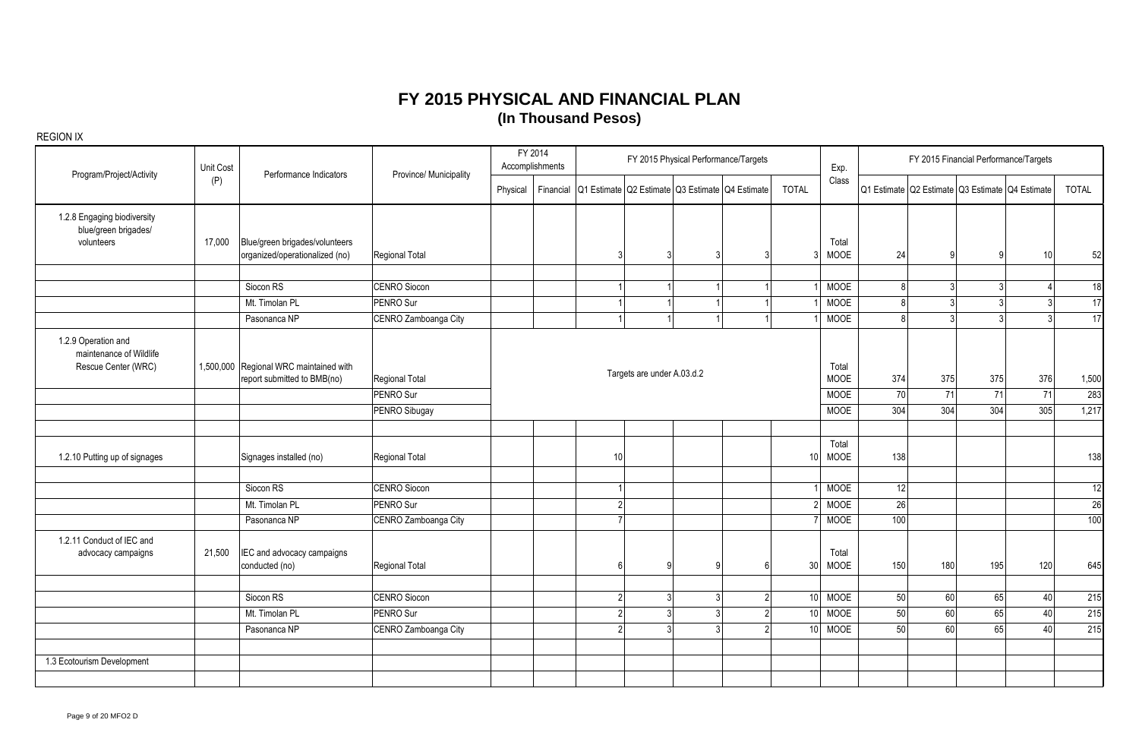| Program/Project/Activity                                              | Unit Cost | Performance Indicators                                                | Province/ Municipality | FY 2014<br>FY 2015 Physical Performance/Targets<br>Accomplishments |           |                                                 |                            |               | Exp.           |                 |                      |     | FY 2015 Financial Performance/Targets           |                |                       |                 |
|-----------------------------------------------------------------------|-----------|-----------------------------------------------------------------------|------------------------|--------------------------------------------------------------------|-----------|-------------------------------------------------|----------------------------|---------------|----------------|-----------------|----------------------|-----|-------------------------------------------------|----------------|-----------------------|-----------------|
|                                                                       | (P)       |                                                                       |                        | Physical                                                           | Financial | Q1 Estimate Q2 Estimate Q3 Estimate Q4 Estimate |                            |               |                | <b>TOTAL</b>    | Class                |     | Q1 Estimate Q2 Estimate Q3 Estimate Q4 Estimate |                |                       | <b>TOTAL</b>    |
| 1.2.8 Engaging biodiversity<br>blue/green brigades/<br>volunteers     | 17,000    | Blue/green brigades/volunteers<br>organized/operationalized (no)      | Regional Total         |                                                                    |           |                                                 |                            |               |                |                 | Total<br><b>MOOE</b> | 24  | 9                                               | g              | 10                    | 52              |
|                                                                       |           |                                                                       |                        |                                                                    |           |                                                 |                            |               |                |                 |                      |     |                                                 |                |                       |                 |
|                                                                       |           | Siocon RS                                                             | <b>CENRO Siocon</b>    |                                                                    |           |                                                 |                            |               |                |                 | MOOE                 | 8   | 3 <sup>l</sup>                                  | 3 <sup>1</sup> |                       | 18              |
|                                                                       |           | Mt. Timolan PL                                                        | PENRO Sur              |                                                                    |           |                                                 |                            |               |                |                 | <b>MOOE</b>          | 8   | 3 <sup>1</sup>                                  | 3              |                       | 17              |
|                                                                       |           | Pasonanca NP                                                          | CENRO Zamboanga City   |                                                                    |           |                                                 |                            |               |                |                 | <b>MOOE</b>          | R   | $\overline{3}$                                  | $\mathcal{R}$  | ્ર                    | 17              |
| 1.2.9 Operation and<br>maintenance of Wildlife<br>Rescue Center (WRC) |           | 1,500,000 Regional WRC maintained with<br>report submitted to BMB(no) | Regional Total         |                                                                    |           |                                                 | Targets are under A.03.d.2 |               |                |                 | Total<br><b>MOOE</b> | 374 | 375                                             | 375            | 376                   | 1,500           |
|                                                                       |           |                                                                       | PENRO Sur              |                                                                    |           |                                                 |                            |               |                |                 | <b>MOOE</b>          | 70  | 71                                              | 71             | 71                    | 283             |
|                                                                       |           |                                                                       | PENRO Sibugay          |                                                                    |           |                                                 |                            |               |                |                 | <b>MOOE</b>          | 304 | 304                                             | 304            | 305                   | 1,217           |
|                                                                       |           |                                                                       |                        |                                                                    |           |                                                 |                            |               |                |                 |                      |     |                                                 |                |                       |                 |
| 1.2.10 Putting up of signages                                         |           | Signages installed (no)                                               | Regional Total         |                                                                    |           | 10                                              |                            |               |                | 10              | Total<br>MOOE        | 138 |                                                 |                |                       | 138             |
|                                                                       |           |                                                                       |                        |                                                                    |           |                                                 |                            |               |                |                 |                      |     |                                                 |                |                       |                 |
|                                                                       |           | Siocon RS                                                             | <b>CENRO Siocon</b>    |                                                                    |           |                                                 |                            |               |                |                 | <b>MOOE</b>          | 12  |                                                 |                |                       | 12              |
|                                                                       |           | Mt. Timolan PL                                                        | PENRO Sur              |                                                                    |           |                                                 |                            |               |                | 2               | MOOE                 | 26  |                                                 |                |                       | $\overline{26}$ |
|                                                                       |           | Pasonanca NP                                                          | CENRO Zamboanga City   |                                                                    |           |                                                 |                            |               |                |                 | <b>MOOE</b>          | 100 |                                                 |                |                       | 100             |
| 1.2.11 Conduct of IEC and<br>advocacy campaigns                       | 21,500    | IEC and advocacy campaigns<br>conducted (no)                          | Regional Total         |                                                                    |           |                                                 |                            | a             |                | 30              | Total<br>MOOE        | 150 | 180                                             | 195            | 120                   | 645             |
|                                                                       |           | Siocon RS                                                             | <b>CENRO Siocon</b>    |                                                                    |           |                                                 | $\mathbf{3}$               | $\mathcal{A}$ | C              | 10 <sup>1</sup> | <b>MOOE</b>          | 50  | 60                                              | 65             | 40                    | 215             |
|                                                                       |           | Mt. Timolan PL                                                        | PENRO Sur              |                                                                    |           |                                                 | 3 <sup>1</sup>             | $\mathbf{R}$  | $\mathfrak{D}$ |                 | <b>MOOE</b>          |     | 60                                              |                |                       | 215             |
|                                                                       |           |                                                                       |                        |                                                                    |           |                                                 | $\mathbf{R}$               | $\mathcal{R}$ | <sup>2</sup>   | 10              |                      | 50  | 60                                              | 65             | 40<br>40 <sup>1</sup> |                 |
|                                                                       |           | Pasonanca NP                                                          | CENRO Zamboanga City   |                                                                    |           |                                                 |                            |               |                | 10              | <b>MOOE</b>          | 50  |                                                 | 65             |                       | 215             |
|                                                                       |           |                                                                       |                        |                                                                    |           |                                                 |                            |               |                |                 |                      |     |                                                 |                |                       |                 |
| 1.3 Ecotourism Development                                            |           |                                                                       |                        |                                                                    |           |                                                 |                            |               |                |                 |                      |     |                                                 |                |                       |                 |
|                                                                       |           |                                                                       |                        |                                                                    |           |                                                 |                            |               |                |                 |                      |     |                                                 |                |                       |                 |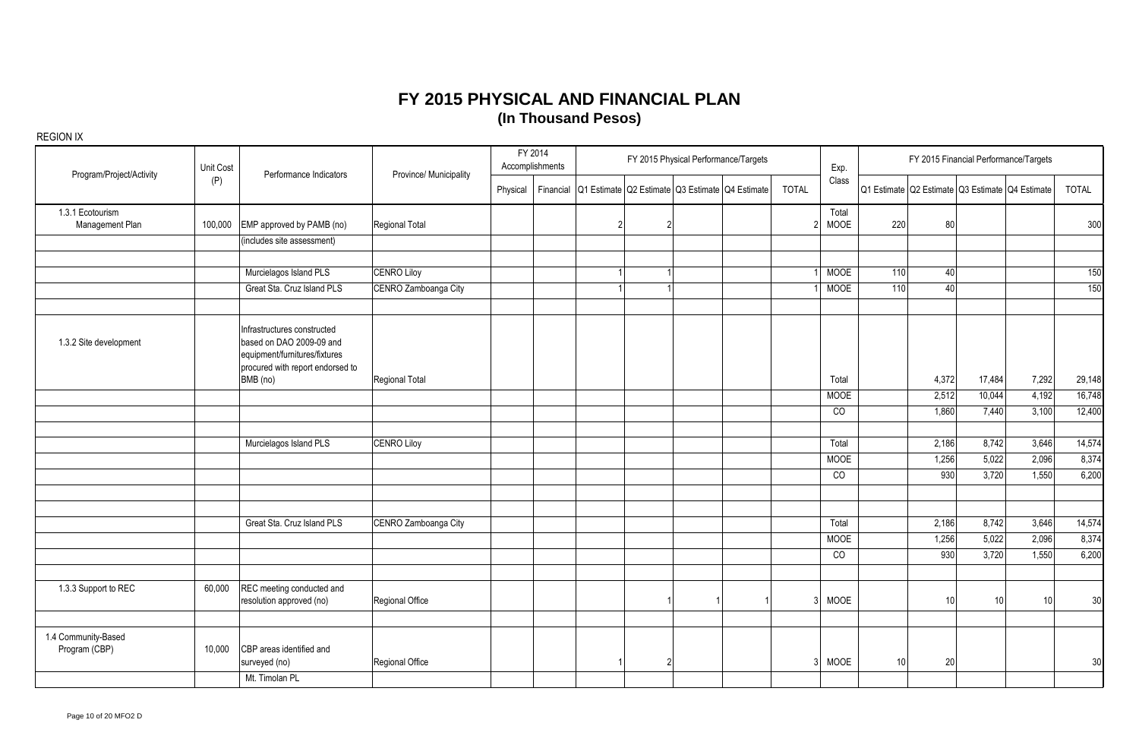|                                      | Unit Cost | Performance Indicators                                                                                                                   |                        |          | FY 2014<br>Accomplishments |                | FY 2015 Physical Performance/Targets            |              | Exp.          |                  |                                                 | FY 2015 Financial Performance/Targets |       |              |
|--------------------------------------|-----------|------------------------------------------------------------------------------------------------------------------------------------------|------------------------|----------|----------------------------|----------------|-------------------------------------------------|--------------|---------------|------------------|-------------------------------------------------|---------------------------------------|-------|--------------|
| Program/Project/Activity             | (P)       |                                                                                                                                          | Province/ Municipality | Physical | Financial                  |                | Q1 Estimate Q2 Estimate Q3 Estimate Q4 Estimate | <b>TOTAL</b> | Class         |                  | Q1 Estimate Q2 Estimate Q3 Estimate Q4 Estimate |                                       |       | <b>TOTAL</b> |
| 1.3.1 Ecotourism<br>Management Plan  | 100,000   | EMP approved by PAMB (no)                                                                                                                | Regional Total         |          |                            | $\overline{2}$ |                                                 |              | Total<br>MOOE | 220              | 80                                              |                                       |       | 300          |
|                                      |           | (includes site assessment)                                                                                                               |                        |          |                            |                |                                                 |              |               |                  |                                                 |                                       |       |              |
|                                      |           | Murcielagos Island PLS                                                                                                                   | <b>CENRO Liloy</b>     |          |                            | 1              |                                                 |              | <b>MOOE</b>   | 110              | 40                                              |                                       |       | 150          |
|                                      |           | Great Sta. Cruz Island PLS                                                                                                               | CENRO Zamboanga City   |          |                            |                |                                                 |              | <b>MOOE</b>   | $\frac{110}{10}$ | 40                                              |                                       |       | 150          |
| 1.3.2 Site development               |           | Infrastructures constructed<br>based on DAO 2009-09 and<br>equipment/furnitures/fixtures<br>procured with report endorsed to<br>BMB (no) | Regional Total         |          |                            |                |                                                 |              | Total         |                  | 4,372                                           | 17,484                                | 7,292 | 29,148       |
|                                      |           |                                                                                                                                          |                        |          |                            |                |                                                 |              | <b>MOOE</b>   |                  | 2,512                                           | 10,044                                | 4,192 | 16,748       |
|                                      |           |                                                                                                                                          |                        |          |                            |                |                                                 |              | CO            |                  | 1,860                                           | 7,440                                 | 3,100 | 12,400       |
|                                      |           | Murcielagos Island PLS                                                                                                                   | <b>CENRO Liloy</b>     |          |                            |                |                                                 |              | Total         |                  | 2,186                                           | 8,742                                 | 3,646 | 14,574       |
|                                      |           |                                                                                                                                          |                        |          |                            |                |                                                 |              | <b>MOOE</b>   |                  | 1,256                                           | 5,022                                 | 2,096 | 8,374        |
|                                      |           |                                                                                                                                          |                        |          |                            |                |                                                 |              | CO            |                  | 930                                             | 3,720                                 | 1,550 | 6,200        |
|                                      |           | Great Sta. Cruz Island PLS                                                                                                               | CENRO Zamboanga City   |          |                            |                |                                                 |              | Total         |                  | 2,186                                           | 8,742                                 | 3,646 | 14,574       |
|                                      |           |                                                                                                                                          |                        |          |                            |                |                                                 |              | <b>MOOE</b>   |                  | 1,256                                           | 5,022                                 | 2,096 | 8,374        |
|                                      |           |                                                                                                                                          |                        |          |                            |                |                                                 |              | CO            |                  | 930                                             | 3,720                                 | 1,550 | 6,200        |
| 1.3.3 Support to REC                 | 60,000    | REC meeting conducted and<br>resolution approved (no)                                                                                    | Regional Office        |          |                            |                |                                                 | ৽            | <b>MOOE</b>   |                  | 10                                              | 10 <sup>1</sup>                       | 10    | 30           |
| 1.4 Community-Based<br>Program (CBP) | 10,000    | CBP areas identified and<br>surveyed (no)<br>Mt. Timolan PL                                                                              | Regional Office        |          |                            | 2 <sub>l</sub> |                                                 |              | <b>MOOE</b>   | 10               | 20                                              |                                       |       | 30           |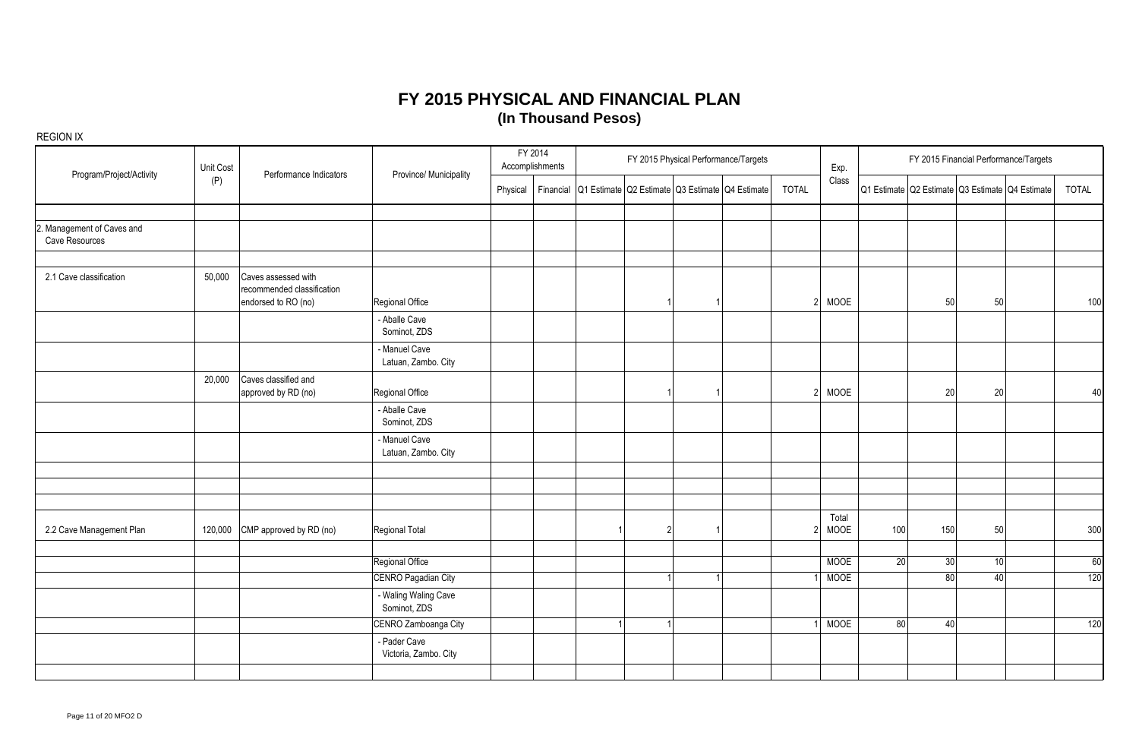|                                              | Unit Cost<br>Performance Indicators<br>Province/ Municipality |                                                                          | FY 2014<br>Accomplishments            |          | FY 2015 Physical Performance/Targets |                |  | Exp.                                                      |               |               |     | FY 2015 Financial Performance/Targets |                 |                                                 |              |
|----------------------------------------------|---------------------------------------------------------------|--------------------------------------------------------------------------|---------------------------------------|----------|--------------------------------------|----------------|--|-----------------------------------------------------------|---------------|---------------|-----|---------------------------------------|-----------------|-------------------------------------------------|--------------|
| Program/Project/Activity                     | (P)                                                           |                                                                          |                                       | Physical |                                      |                |  | Financial Q1 Estimate Q2 Estimate Q3 Estimate Q4 Estimate | <b>TOTAL</b>  | Class         |     |                                       |                 | Q1 Estimate Q2 Estimate Q3 Estimate Q4 Estimate | <b>TOTAL</b> |
|                                              |                                                               |                                                                          |                                       |          |                                      |                |  |                                                           |               |               |     |                                       |                 |                                                 |              |
| 2. Management of Caves and<br>Cave Resources |                                                               |                                                                          |                                       |          |                                      |                |  |                                                           |               |               |     |                                       |                 |                                                 |              |
| 2.1 Cave classification                      | 50,000                                                        | Caves assessed with<br>recommended classification<br>endorsed to RO (no) | Regional Office                       |          |                                      |                |  |                                                           | $\mathcal{P}$ | MOOE          |     | 50                                    | 50              |                                                 | 100          |
|                                              |                                                               |                                                                          | - Aballe Cave<br>Sominot, ZDS         |          |                                      |                |  |                                                           |               |               |     |                                       |                 |                                                 |              |
|                                              |                                                               |                                                                          | - Manuel Cave<br>Latuan, Zambo. City  |          |                                      |                |  |                                                           |               |               |     |                                       |                 |                                                 |              |
|                                              | 20,000                                                        | Caves classified and<br>approved by RD (no)                              | Regional Office                       |          |                                      |                |  |                                                           | 2             | MOOE          |     | $20\,$                                | 20 <sup>1</sup> |                                                 | 40           |
|                                              |                                                               |                                                                          | - Aballe Cave<br>Sominot, ZDS         |          |                                      |                |  |                                                           |               |               |     |                                       |                 |                                                 |              |
|                                              |                                                               |                                                                          | - Manuel Cave<br>Latuan, Zambo. City  |          |                                      |                |  |                                                           |               |               |     |                                       |                 |                                                 |              |
|                                              |                                                               |                                                                          |                                       |          |                                      |                |  |                                                           |               |               |     |                                       |                 |                                                 |              |
| 2.2 Cave Management Plan                     | 120,000                                                       | CMP approved by RD (no)                                                  | Regional Total                        |          |                                      | $\overline{2}$ |  |                                                           | 2             | Total<br>MOOE | 100 | 150                                   | 50              |                                                 | 300          |
|                                              |                                                               |                                                                          | Regional Office                       |          |                                      |                |  |                                                           |               | <b>MOOE</b>   | 20  | 30                                    | 10              |                                                 | 60           |
|                                              |                                                               |                                                                          | <b>CENRO Pagadian City</b>            |          |                                      |                |  |                                                           |               | <b>MOOE</b>   |     | 80                                    | 40              |                                                 | 120          |
|                                              |                                                               |                                                                          | - Waling Waling Cave<br>Sominot, ZDS  |          |                                      |                |  |                                                           |               |               |     |                                       |                 |                                                 |              |
|                                              |                                                               |                                                                          | CENRO Zamboanga City                  |          |                                      |                |  |                                                           |               | <b>MOOE</b>   | 80  | 40                                    |                 |                                                 | 120          |
|                                              |                                                               |                                                                          | - Pader Cave<br>Victoria, Zambo. City |          |                                      |                |  |                                                           |               |               |     |                                       |                 |                                                 |              |
|                                              |                                                               |                                                                          |                                       |          |                                      |                |  |                                                           |               |               |     |                                       |                 |                                                 |              |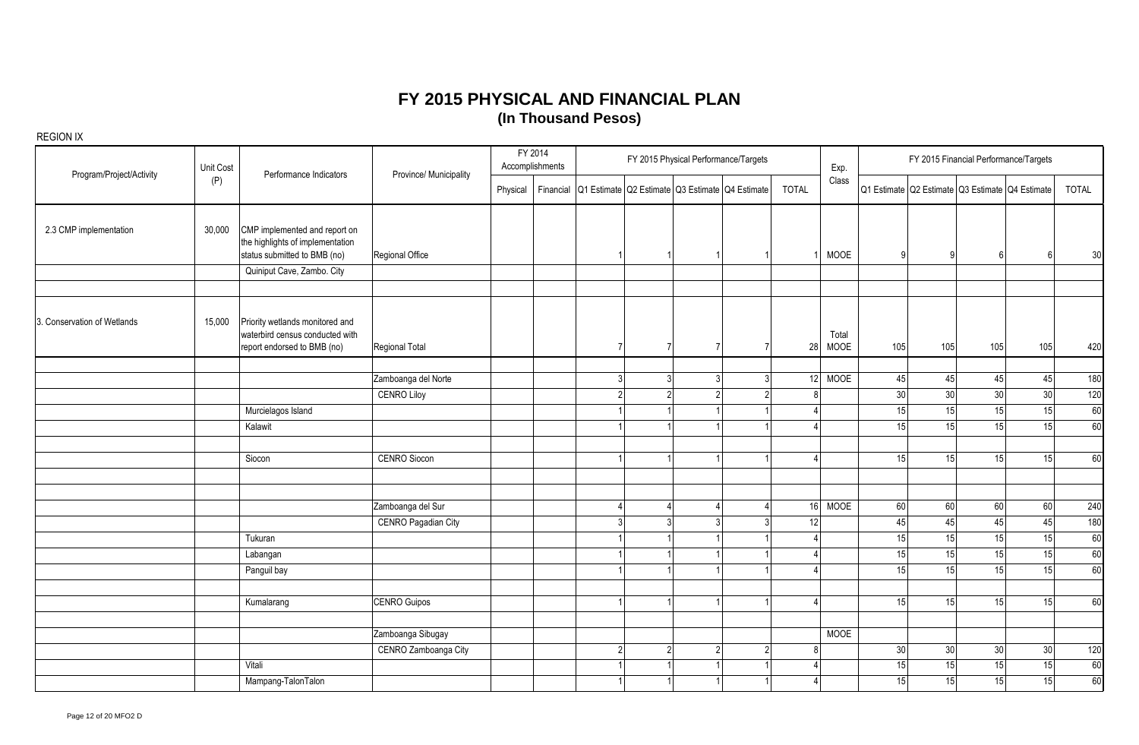| Program/Project/Activity    | Unit Cost | Performance Indicators                                                                            | Province/ Municipality |          | FY 2014<br>Accomplishments |                |               | FY 2015 Physical Performance/Targets                      |              | Exp.          |                 |                                                 |        | FY 2015 Financial Performance/Targets |       |
|-----------------------------|-----------|---------------------------------------------------------------------------------------------------|------------------------|----------|----------------------------|----------------|---------------|-----------------------------------------------------------|--------------|---------------|-----------------|-------------------------------------------------|--------|---------------------------------------|-------|
|                             | (P)       |                                                                                                   |                        | Physical |                            |                |               | Financial Q1 Estimate Q2 Estimate Q3 Estimate Q4 Estimate | <b>TOTAL</b> | Class         |                 | Q1 Estimate Q2 Estimate Q3 Estimate Q4 Estimate |        |                                       | TOTAL |
| 2.3 CMP implementation      | 30,000    | CMP implemented and report on<br>the highlights of implementation<br>status submitted to BMB (no) | Regional Office        |          |                            |                |               |                                                           |              | MOOE          | q               | 9                                               | 6      | -6                                    | 30    |
|                             |           | Quiniput Cave, Zambo. City                                                                        |                        |          |                            |                |               |                                                           |              |               |                 |                                                 |        |                                       |       |
| 3. Conservation of Wetlands | 15,000    | Priority wetlands monitored and<br>waterbird census conducted with<br>report endorsed to BMB (no) | Regional Total         |          |                            | 7              |               |                                                           | 28           | Total<br>MOOE | 105             | 105                                             | 105    | 105                                   | 420   |
|                             |           |                                                                                                   | Zamboanga del Norte    |          |                            | $\overline{3}$ | ર             |                                                           | 12           | <b>MOOE</b>   | 45              | 45                                              | 45     | 45                                    | 180   |
|                             |           |                                                                                                   | <b>CENRO Liloy</b>     |          |                            | $\overline{2}$ |               |                                                           |              |               | 30 <sup>°</sup> | 30                                              | $30\,$ | 30                                    | 120   |
|                             |           | Murcielagos Island                                                                                |                        |          |                            |                |               |                                                           |              |               | 15              | 15                                              | 15     | 15                                    | 60    |
|                             |           | Kalawit                                                                                           |                        |          |                            | $\mathbf{1}$   |               |                                                           |              |               | 15              | 15                                              | 15     | 15                                    | 60    |
|                             |           | Siocon                                                                                            | CENRO Siocon           |          |                            |                |               |                                                           |              |               | 15              | 15                                              | 15     | 15                                    | 60    |
|                             |           |                                                                                                   | Zamboanga del Sur      |          |                            |                |               |                                                           | 16           | <b>MOOE</b>   | 60              | 60                                              | 60     | 60                                    | 240   |
|                             |           |                                                                                                   | CENRO Pagadian City    |          |                            | 3 <sup>1</sup> |               |                                                           | 12           |               | 45              | 45                                              | 45     | 45                                    | 180   |
|                             |           | Tukuran                                                                                           |                        |          |                            | $\mathbf{1}$   |               |                                                           |              |               | 15              | 15                                              | 15     | 15                                    | 60    |
|                             |           | Labangan                                                                                          |                        |          |                            | 1              |               |                                                           |              |               | 15              | 15                                              | 15     | 15                                    | 60    |
|                             |           | Panguil bay                                                                                       |                        |          |                            |                |               |                                                           |              |               | 15              | 15                                              | 15     | 15                                    | 60    |
|                             |           | Kumalarang                                                                                        | <b>CENRO Guipos</b>    |          |                            |                |               |                                                           |              |               | 15              | 15                                              | 15     | 15                                    | 60    |
|                             |           |                                                                                                   |                        |          |                            |                |               |                                                           |              |               |                 |                                                 |        |                                       |       |
|                             |           |                                                                                                   | Zamboanga Sibugay      |          |                            |                |               |                                                           |              | <b>MOOE</b>   |                 |                                                 |        |                                       |       |
|                             |           |                                                                                                   | CENRO Zamboanga City   |          |                            | 2              | $\mathcal{D}$ |                                                           |              |               | 30 <sup>°</sup> | 30                                              | 30     | 30                                    | 120   |
|                             |           | Vitali                                                                                            |                        |          |                            | 1              |               |                                                           |              |               | 15              | 15                                              | 15     | 15                                    | 60    |
|                             |           | Mampang-TalonTalon                                                                                |                        |          |                            | 1              |               |                                                           |              |               | 15              | 15                                              | 15     | 15                                    | 60    |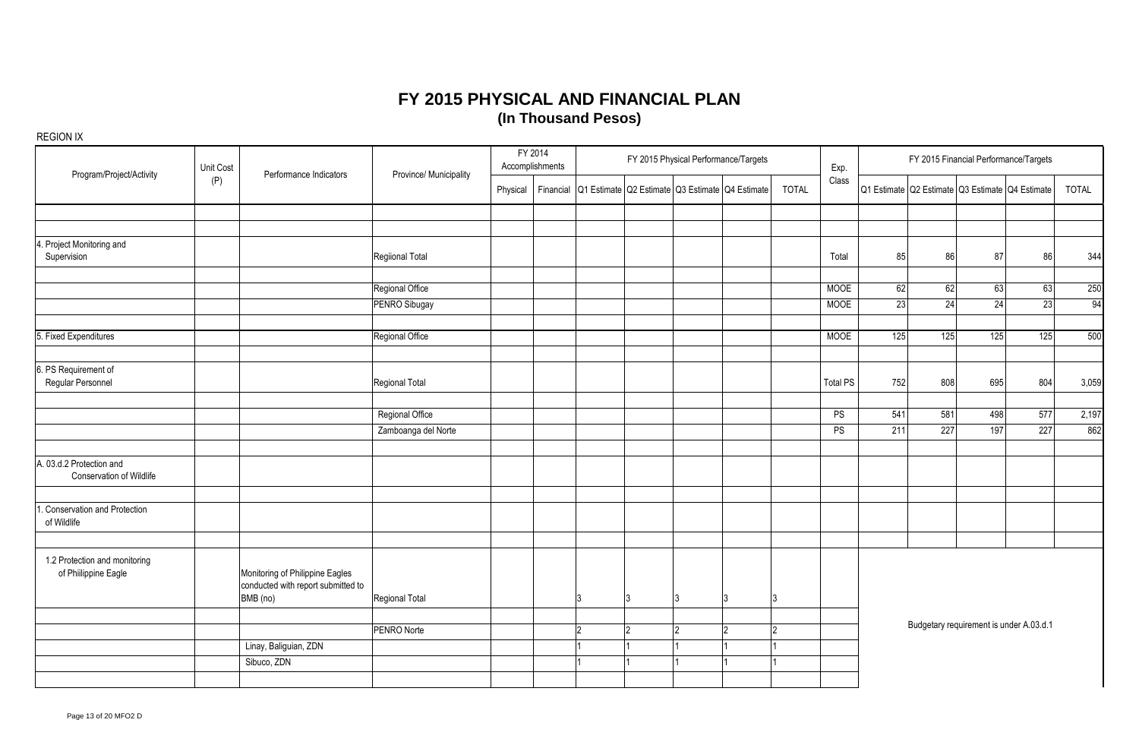| Program/Project/Activity                              | Unit Cost | Performance Indicators                                                            | Province/ Municipality |          | FY 2014<br>Accomplishments |                |   | FY 2015 Physical Performance/Targets |                                                           |              | Exp.            |     |     |     | FY 2015 Financial Performance/Targets           |              |
|-------------------------------------------------------|-----------|-----------------------------------------------------------------------------------|------------------------|----------|----------------------------|----------------|---|--------------------------------------|-----------------------------------------------------------|--------------|-----------------|-----|-----|-----|-------------------------------------------------|--------------|
|                                                       | (P)       |                                                                                   |                        | Physical |                            |                |   |                                      | Financial Q1 Estimate Q2 Estimate Q3 Estimate Q4 Estimate | <b>TOTAL</b> | Class           |     |     |     | Q1 Estimate Q2 Estimate Q3 Estimate Q4 Estimate | <b>TOTAL</b> |
|                                                       |           |                                                                                   |                        |          |                            |                |   |                                      |                                                           |              |                 |     |     |     |                                                 |              |
| 4. Project Monitoring and<br>Supervision              |           |                                                                                   | Regiional Total        |          |                            |                |   |                                      |                                                           |              | Total           | 85  | 86  | 87  | 86                                              | 344          |
|                                                       |           |                                                                                   | Regional Office        |          |                            |                |   |                                      |                                                           |              | <b>MOOE</b>     | 62  | 62  | 63  | 63                                              | 250          |
|                                                       |           |                                                                                   | PENRO Sibugay          |          |                            |                |   |                                      |                                                           |              | <b>MOOE</b>     | 23  | 24  | 24  | 23                                              | 94           |
| 5. Fixed Expenditures                                 |           |                                                                                   | Regional Office        |          |                            |                |   |                                      |                                                           |              | <b>MOOE</b>     | 125 | 125 | 125 | 125                                             | 500          |
| 6. PS Requirement of<br>Regular Personnel             |           |                                                                                   | Regional Total         |          |                            |                |   |                                      |                                                           |              | <b>Total PS</b> | 752 | 808 | 695 | 804                                             | 3,059        |
|                                                       |           |                                                                                   | Regional Office        |          |                            |                |   |                                      |                                                           |              | PS              | 541 | 581 | 498 | 577                                             | 2,197        |
|                                                       |           |                                                                                   | Zamboanga del Norte    |          |                            |                |   |                                      |                                                           |              | PS              | 211 | 227 | 197 | 227                                             | 862          |
| A. 03.d.2 Protection and<br>Conservation of Wildlife  |           |                                                                                   |                        |          |                            |                |   |                                      |                                                           |              |                 |     |     |     |                                                 |              |
| . Conservation and Protection<br>of Wildlife          |           |                                                                                   |                        |          |                            |                |   |                                      |                                                           |              |                 |     |     |     |                                                 |              |
| 1.2 Protection and monitoring<br>of Phiilippine Eagle |           | Monitoring of Philippine Eagles<br>conducted with report submitted to<br>BMB (no) | Regional Total         |          |                            | 3              | 3 | 13                                   | 3                                                         | 13           |                 |     |     |     |                                                 |              |
|                                                       |           |                                                                                   | PENRO Norte            |          |                            | $\overline{2}$ | っ | 12                                   | $\overline{2}$                                            | $ 2\rangle$  |                 |     |     |     | Budgetary requirement is under A.03.d.1         |              |
|                                                       |           | Linay, Baliguian, ZDN<br>Sibuco, ZDN                                              |                        |          |                            |                |   |                                      |                                                           |              |                 |     |     |     |                                                 |              |
|                                                       |           |                                                                                   |                        |          |                            |                |   |                                      |                                                           |              |                 |     |     |     |                                                 |              |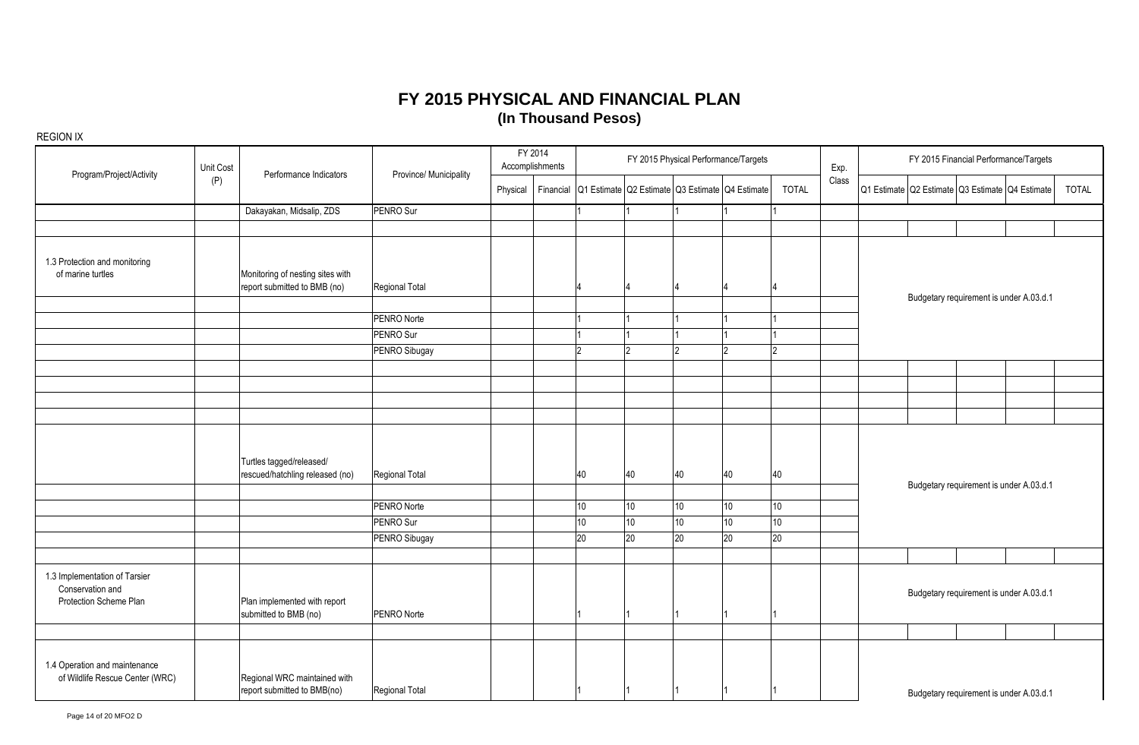| <b>NEQION IA</b>                                                            |           |                                                                  |                        |          |                            |     |                |                 |                                                           |              |       |                                                 |              |
|-----------------------------------------------------------------------------|-----------|------------------------------------------------------------------|------------------------|----------|----------------------------|-----|----------------|-----------------|-----------------------------------------------------------|--------------|-------|-------------------------------------------------|--------------|
| Program/Project/Activity                                                    | Unit Cost | Performance Indicators                                           | Province/ Municipality |          | FY 2014<br>Accomplishments |     |                |                 | FY 2015 Physical Performance/Targets                      |              | Exp.  | FY 2015 Financial Performance/Targets           |              |
|                                                                             | (P)       |                                                                  |                        | Physical |                            |     |                |                 | Financial Q1 Estimate Q2 Estimate Q3 Estimate Q4 Estimate | <b>TOTAL</b> | Class | Q1 Estimate Q2 Estimate Q3 Estimate Q4 Estimate | <b>TOTAL</b> |
|                                                                             |           | Dakayakan, Midsalip, ZDS                                         | PENRO Sur              |          |                            |     |                |                 |                                                           |              |       |                                                 |              |
|                                                                             |           |                                                                  |                        |          |                            |     |                |                 |                                                           |              |       |                                                 |              |
| 1.3 Protection and monitoring<br>of marine turtles                          |           | Monitoring of nesting sites with<br>report submitted to BMB (no) | Regional Total         |          |                            |     |                |                 |                                                           |              |       | Budgetary requirement is under A.03.d.1         |              |
|                                                                             |           |                                                                  | PENRO Norte            |          |                            |     |                |                 |                                                           |              |       |                                                 |              |
|                                                                             |           |                                                                  | PENRO Sur              |          |                            |     |                |                 |                                                           |              |       |                                                 |              |
|                                                                             |           |                                                                  | PENRO Sibugay          |          |                            | 12. | $\mathfrak{p}$ | $\overline{2}$  | 12                                                        | $ 2\rangle$  |       |                                                 |              |
|                                                                             |           |                                                                  |                        |          |                            |     |                |                 |                                                           |              |       |                                                 |              |
|                                                                             |           |                                                                  |                        |          |                            |     |                |                 |                                                           |              |       |                                                 |              |
|                                                                             |           |                                                                  |                        |          |                            |     |                |                 |                                                           |              |       |                                                 |              |
|                                                                             |           |                                                                  |                        |          |                            |     |                |                 |                                                           |              |       |                                                 |              |
|                                                                             |           | Turtles tagged/released/<br>rescued/hatchling released (no)      | Regional Total         |          |                            | 40  | 40             | 40              | 40                                                        | 40           |       | Budgetary requirement is under A.03.d.1         |              |
|                                                                             |           |                                                                  | PENRO Norte            |          |                            | 10  | 10             | 10 <sup>1</sup> | 10                                                        | 10           |       |                                                 |              |
|                                                                             |           |                                                                  | PENRO Sur              |          |                            | 10  | 10             | 10 <sup>°</sup> | 10                                                        | 10           |       |                                                 |              |
|                                                                             |           |                                                                  | PENRO Sibugay          |          |                            | 20  | 20             | 20              | 20                                                        | $ 20\rangle$ |       |                                                 |              |
|                                                                             |           |                                                                  |                        |          |                            |     |                |                 |                                                           |              |       |                                                 |              |
| 1.3 Implementation of Tarsier<br>Conservation and<br>Protection Scheme Plan |           | Plan implemented with report<br>submitted to BMB (no)            | PENRO Norte            |          |                            |     |                |                 |                                                           |              |       | Budgetary requirement is under A.03.d.1         |              |
|                                                                             |           |                                                                  |                        |          |                            |     |                |                 |                                                           |              |       |                                                 |              |
| 1.4 Operation and maintenance<br>of Wildlife Rescue Center (WRC)            |           | Regional WRC maintained with<br>report submitted to BMB(no)      | Regional Total         |          |                            |     |                |                 |                                                           |              |       | Budgetary requirement is under A.03.d.1         |              |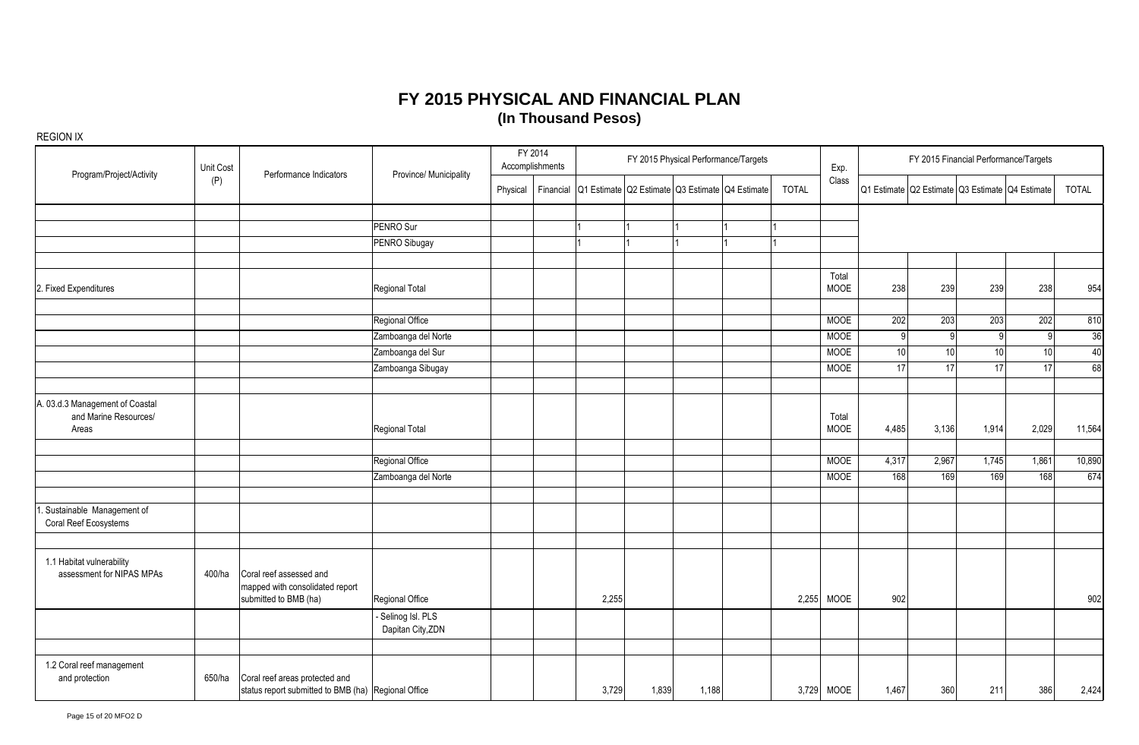| Program/Project/Activity                                          | Unit Cost | Performance Indicators                                                                | Province/ Municipality                |          | FY 2014<br>Accomplishments |       |       |       | FY 2015 Physical Performance/Targets                      |              | Exp.          |                                                 | FY 2015 Financial Performance/Targets |                 |       |        |
|-------------------------------------------------------------------|-----------|---------------------------------------------------------------------------------------|---------------------------------------|----------|----------------------------|-------|-------|-------|-----------------------------------------------------------|--------------|---------------|-------------------------------------------------|---------------------------------------|-----------------|-------|--------|
|                                                                   | (P)       |                                                                                       |                                       | Physical |                            |       |       |       | Financial Q1 Estimate Q2 Estimate Q3 Estimate Q4 Estimate | <b>TOTAL</b> | Class         | Q1 Estimate Q2 Estimate Q3 Estimate Q4 Estimate |                                       |                 |       | TOTAL  |
|                                                                   |           |                                                                                       |                                       |          |                            |       |       |       |                                                           |              |               |                                                 |                                       |                 |       |        |
|                                                                   |           |                                                                                       | PENRO Sur                             |          |                            |       |       |       | $\overline{1}$                                            |              |               |                                                 |                                       |                 |       |        |
|                                                                   |           |                                                                                       | PENRO Sibugay                         |          |                            |       |       |       | $\overline{4}$                                            |              |               |                                                 |                                       |                 |       |        |
|                                                                   |           |                                                                                       |                                       |          |                            |       |       |       |                                                           |              | Total         |                                                 |                                       |                 |       |        |
| 2. Fixed Expenditures                                             |           |                                                                                       | Regional Total                        |          |                            |       |       |       |                                                           |              | MOOE          | 238                                             | 239                                   | 239             | 238   | 954    |
|                                                                   |           |                                                                                       | Regional Office                       |          |                            |       |       |       |                                                           |              | <b>MOOE</b>   | 202                                             | 203                                   | 203             | 202   | 810    |
|                                                                   |           |                                                                                       | Zamboanga del Norte                   |          |                            |       |       |       |                                                           |              | <b>MOOE</b>   | <b>Q</b>                                        | 9                                     | 9 <sup>1</sup>  | 9     | 36     |
|                                                                   |           |                                                                                       | Zamboanga del Sur                     |          |                            |       |       |       |                                                           |              | <b>MOOE</b>   | 10                                              | 10                                    | 10 <sup>1</sup> | 10    | 40     |
|                                                                   |           |                                                                                       | Zamboanga Sibugay                     |          |                            |       |       |       |                                                           |              | <b>MOOE</b>   | 17                                              | 17                                    | 17              | 17    | 68     |
|                                                                   |           |                                                                                       |                                       |          |                            |       |       |       |                                                           |              |               |                                                 |                                       |                 |       |        |
| A. 03.d.3 Management of Coastal<br>and Marine Resources/<br>Areas |           |                                                                                       | Regional Total                        |          |                            |       |       |       |                                                           |              | Total<br>MOOE | 4,485                                           | 3,136                                 | 1,914           | 2,029 | 11,564 |
|                                                                   |           |                                                                                       | Regional Office                       |          |                            |       |       |       |                                                           |              | <b>MOOE</b>   | 4,317                                           | 2,967                                 | 1,745           | 1,861 | 10,890 |
|                                                                   |           |                                                                                       | Zamboanga del Norte                   |          |                            |       |       |       |                                                           |              | <b>MOOE</b>   | 168                                             | 169                                   | 169             | 168   | 674    |
| . Sustainable Management of<br>Coral Reef Ecosystems              |           |                                                                                       |                                       |          |                            |       |       |       |                                                           |              |               |                                                 |                                       |                 |       |        |
| 1.1 Habitat vulnerability<br>assessment for NIPAS MPAs            | 400/ha    | Coral reef assessed and<br>mapped with consolidated report<br>submitted to BMB (ha)   | Regional Office                       |          |                            | 2,255 |       |       |                                                           | 2,255        | MOOE          | 902                                             |                                       |                 |       | 902    |
|                                                                   |           |                                                                                       | Selinog Isl. PLS<br>Dapitan City, ZDN |          |                            |       |       |       |                                                           |              |               |                                                 |                                       |                 |       |        |
| 1.2 Coral reef management<br>and protection                       | 650/ha    | Coral reef areas protected and<br>status report submitted to BMB (ha) Regional Office |                                       |          |                            | 3,729 | 1,839 | 1,188 |                                                           |              | 3,729 MOOE    | 1,467                                           | 360                                   | 211             | 386   | 2,424  |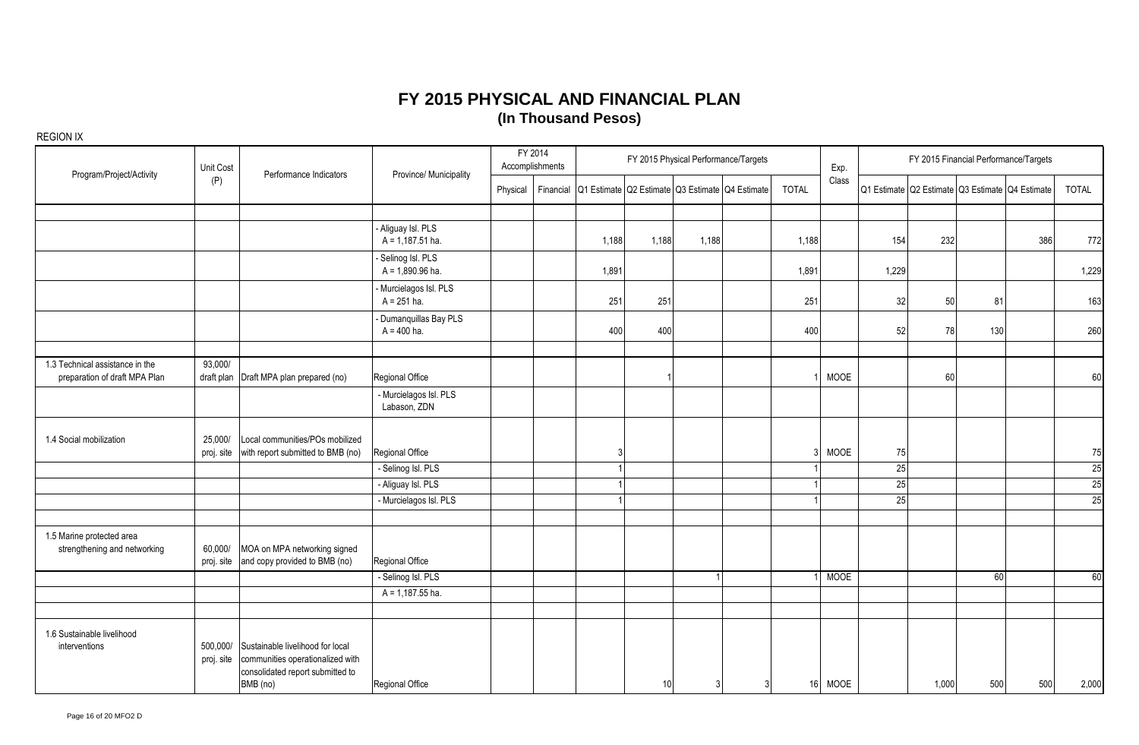| Program/Project/Activity                                         | Unit Cost              | Performance Indicators                                                                                               | Province/ Municipality                   |          | FY 2014<br>Accomplishments |                                                 |                 |                | FY 2015 Physical Performance/Targets |                 | Exp.        |                 |       |                                                 | FY 2015 Financial Performance/Targets |                 |
|------------------------------------------------------------------|------------------------|----------------------------------------------------------------------------------------------------------------------|------------------------------------------|----------|----------------------------|-------------------------------------------------|-----------------|----------------|--------------------------------------|-----------------|-------------|-----------------|-------|-------------------------------------------------|---------------------------------------|-----------------|
|                                                                  | (P)                    |                                                                                                                      |                                          | Physical | Financial                  | Q1 Estimate Q2 Estimate Q3 Estimate Q4 Estimate |                 |                |                                      | <b>TOTAL</b>    | Class       |                 |       | Q1 Estimate Q2 Estimate Q3 Estimate Q4 Estimate |                                       | TOTAL           |
|                                                                  |                        |                                                                                                                      |                                          |          |                            |                                                 |                 |                |                                      |                 |             |                 |       |                                                 |                                       |                 |
|                                                                  |                        |                                                                                                                      | - Aliguay Isl. PLS<br>$A = 1,187.51$ ha. |          |                            | 1,188                                           | 1,188           | 1,188          |                                      | 1,188           |             | 154             | 232   |                                                 | 386                                   | 772             |
|                                                                  |                        |                                                                                                                      | Selinog Isl. PLS<br>$A = 1,890.96$ ha.   |          |                            | 1,891                                           |                 |                |                                      | 1,891           |             | 1,229           |       |                                                 |                                       | 1,229           |
|                                                                  |                        |                                                                                                                      | - Murcielagos Isl. PLS<br>$A = 251$ ha.  |          |                            | 251                                             | 251             |                |                                      | 251             |             | 32              | 50    | 81                                              |                                       | 163             |
|                                                                  |                        |                                                                                                                      | - Dumanquillas Bay PLS<br>$A = 400$ ha.  |          |                            | 400                                             | 400             |                |                                      | 400             |             | 52              | 78    | 130                                             |                                       | 260             |
|                                                                  |                        |                                                                                                                      |                                          |          |                            |                                                 |                 |                |                                      |                 |             |                 |       |                                                 |                                       |                 |
| 1.3 Technical assistance in the<br>preparation of draft MPA Plan | 93,000/<br>draft plan  | Draft MPA plan prepared (no)                                                                                         | Regional Office                          |          |                            |                                                 |                 |                |                                      |                 | MOOE        |                 | 60    |                                                 |                                       | 60              |
|                                                                  |                        |                                                                                                                      | - Murcielagos Isl. PLS<br>Labason, ZDN   |          |                            |                                                 |                 |                |                                      |                 |             |                 |       |                                                 |                                       |                 |
| 1.4 Social mobilization                                          | 25,000/<br>proj. site  | Local communities/POs mobilized<br>with report submitted to BMB (no)                                                 | Regional Office                          |          |                            |                                                 |                 |                |                                      | ৽               | <b>MOOE</b> | 75              |       |                                                 |                                       | 75              |
|                                                                  |                        |                                                                                                                      | - Selinog Isl. PLS                       |          |                            |                                                 |                 |                |                                      |                 |             | $\overline{25}$ |       |                                                 |                                       | $\frac{25}{25}$ |
|                                                                  |                        |                                                                                                                      | - Aliguay Isl. PLS                       |          |                            |                                                 |                 |                |                                      |                 |             | 25              |       |                                                 |                                       |                 |
|                                                                  |                        |                                                                                                                      | - Murcielagos Isl. PLS                   |          |                            |                                                 |                 |                |                                      |                 |             | 25              |       |                                                 |                                       | 25              |
|                                                                  |                        |                                                                                                                      |                                          |          |                            |                                                 |                 |                |                                      |                 |             |                 |       |                                                 |                                       |                 |
| 1.5 Marine protected area<br>strengthening and networking        | 60,000/<br>proj. site  | MOA on MPA networking signed<br>and copy provided to BMB (no)                                                        | Regional Office                          |          |                            |                                                 |                 |                |                                      |                 |             |                 |       |                                                 |                                       |                 |
|                                                                  |                        |                                                                                                                      | - Selinog Isl. PLS                       |          |                            |                                                 |                 |                |                                      |                 | <b>MOOE</b> |                 |       | 60                                              |                                       | 60              |
|                                                                  |                        |                                                                                                                      | $A = 1,187.55$ ha.                       |          |                            |                                                 |                 |                |                                      |                 |             |                 |       |                                                 |                                       |                 |
|                                                                  |                        |                                                                                                                      |                                          |          |                            |                                                 |                 |                |                                      |                 |             |                 |       |                                                 |                                       |                 |
| 1.6 Sustainable livelihood<br>interventions                      | 500,000/<br>proj. site | Sustainable livelihood for local<br>communities operationalized with<br>consolidated report submitted to<br>BMB (no) | Regional Office                          |          |                            |                                                 | 10 <sup>1</sup> | 3 <sup>1</sup> | 3                                    | 16 <sup>1</sup> | <b>MOOE</b> |                 | 1,000 | 500                                             | 500                                   | 2,000           |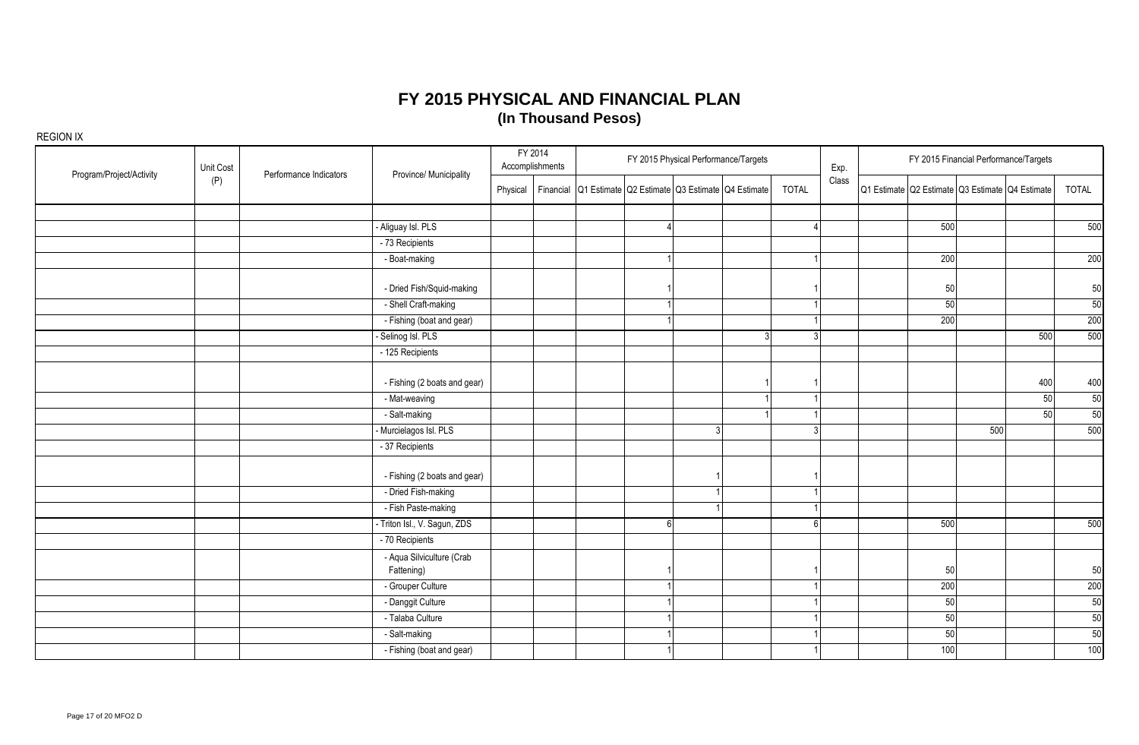| Program/Project/Activity | Unit Cost | Performance Indicators | Province/ Municipality                  |          | FY 2014<br>Accomplishments |   | FY 2015 Physical Performance/Targets                      |              | Exp.  | FY 2015 Financial Performance/Targets           |     |                 |
|--------------------------|-----------|------------------------|-----------------------------------------|----------|----------------------------|---|-----------------------------------------------------------|--------------|-------|-------------------------------------------------|-----|-----------------|
|                          | (P)       |                        |                                         | Physical |                            |   | Financial Q1 Estimate Q2 Estimate Q3 Estimate Q4 Estimate | <b>TOTAL</b> | Class | Q1 Estimate Q2 Estimate Q3 Estimate Q4 Estimate |     | TOTAL           |
|                          |           |                        |                                         |          |                            |   |                                                           |              |       |                                                 |     |                 |
|                          |           |                        | - Aliguay Isl. PLS                      |          |                            |   |                                                           |              |       | 500                                             |     | 500             |
|                          |           |                        | - 73 Recipients                         |          |                            |   |                                                           |              |       |                                                 |     |                 |
|                          |           |                        | - Boat-making                           |          |                            |   |                                                           |              |       | 200                                             |     | 200             |
|                          |           |                        | - Dried Fish/Squid-making               |          |                            |   |                                                           |              |       | 50                                              |     | 50              |
|                          |           |                        | - Shell Craft-making                    |          |                            |   |                                                           |              |       | 50                                              |     | 50              |
|                          |           |                        | - Fishing (boat and gear)               |          |                            |   |                                                           |              |       | 200                                             |     | 200             |
|                          |           |                        | - Selinog Isl. PLS                      |          |                            |   |                                                           | 3            |       |                                                 | 500 | 500             |
|                          |           |                        | - 125 Recipients                        |          |                            |   |                                                           |              |       |                                                 |     |                 |
|                          |           |                        | - Fishing (2 boats and gear)            |          |                            |   |                                                           |              |       |                                                 | 400 | 400             |
|                          |           |                        | - Mat-weaving                           |          |                            |   |                                                           |              |       |                                                 | 50  | 50              |
|                          |           |                        | - Salt-making                           |          |                            |   |                                                           |              |       |                                                 | 50  | $\overline{50}$ |
|                          |           |                        | Murcielagos Isl. PLS                    |          |                            |   | २                                                         | 3            |       | 500                                             |     | 500             |
|                          |           |                        | - 37 Recipients                         |          |                            |   |                                                           |              |       |                                                 |     |                 |
|                          |           |                        | - Fishing (2 boats and gear)            |          |                            |   |                                                           |              |       |                                                 |     |                 |
|                          |           |                        | - Dried Fish-making                     |          |                            |   |                                                           |              |       |                                                 |     |                 |
|                          |           |                        | - Fish Paste-making                     |          |                            |   |                                                           |              |       |                                                 |     |                 |
|                          |           |                        | - Triton Isl., V. Sagun, ZDS            |          |                            | ĥ |                                                           | $\mathsf{6}$ |       | 500                                             |     | 500             |
|                          |           |                        | - 70 Recipients                         |          |                            |   |                                                           |              |       |                                                 |     |                 |
|                          |           |                        | - Aqua Silviculture (Crab<br>Fattening) |          |                            |   |                                                           |              |       | 50                                              |     | 50              |
|                          |           |                        | - Grouper Culture                       |          |                            |   |                                                           |              |       | 200                                             |     | 200             |
|                          |           |                        | - Danggit Culture                       |          |                            |   |                                                           |              |       | 50                                              |     | 50              |
|                          |           |                        | - Talaba Culture                        |          |                            |   |                                                           |              |       | 50                                              |     | $\overline{50}$ |
|                          |           |                        | - Salt-making                           |          |                            |   |                                                           |              |       | 50                                              |     | 50              |
|                          |           |                        | - Fishing (boat and gear)               |          |                            |   |                                                           |              |       | 100                                             |     | 100             |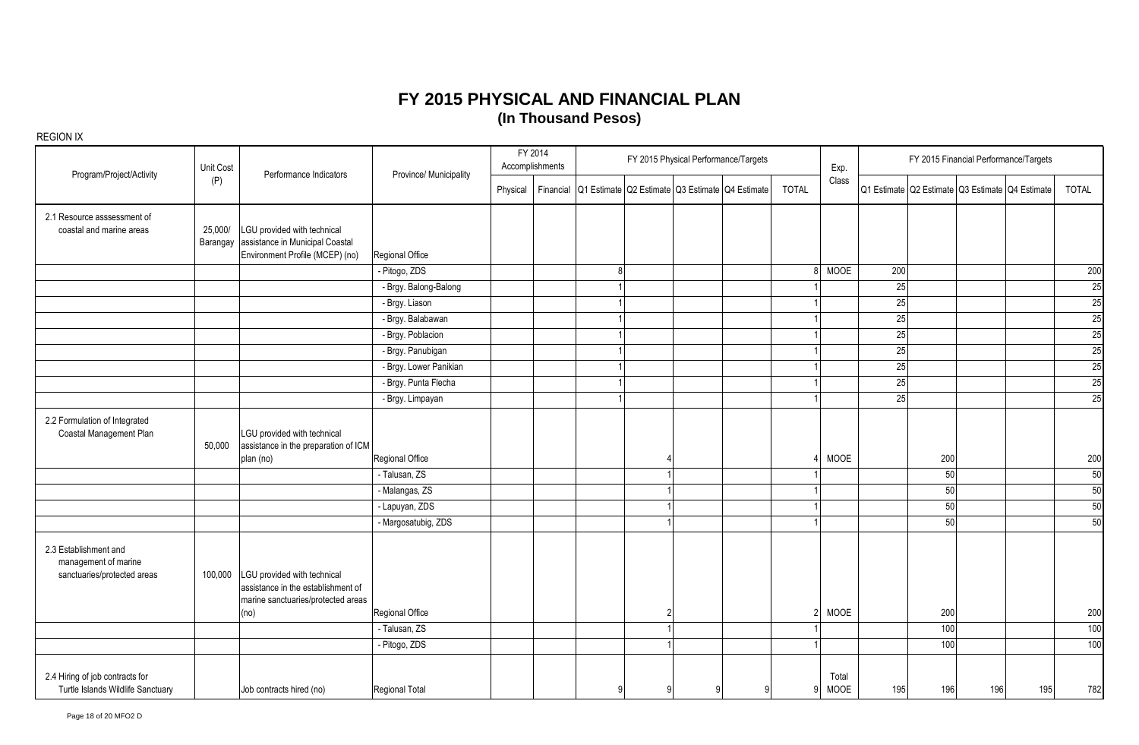| Program/Project/Activity                                                     | Unit Cost           | Performance Indicators                                                                                          | Province/ Municipality |          | FY 2014<br>Accomplishments |   |   |   | FY 2015 Physical Performance/Targets            |              | Exp.                 |     |     |     | FY 2015 Financial Performance/Targets           |                 |
|------------------------------------------------------------------------------|---------------------|-----------------------------------------------------------------------------------------------------------------|------------------------|----------|----------------------------|---|---|---|-------------------------------------------------|--------------|----------------------|-----|-----|-----|-------------------------------------------------|-----------------|
|                                                                              | (P)                 |                                                                                                                 |                        | Physical | Financial                  |   |   |   | Q1 Estimate Q2 Estimate Q3 Estimate Q4 Estimate | <b>TOTAL</b> | Class                |     |     |     | Q1 Estimate Q2 Estimate Q3 Estimate Q4 Estimate | TOTAL           |
| 2.1 Resource asssessment of<br>coastal and marine areas                      | 25,000/<br>Barangay | LGU provided with technical<br>assistance in Municipal Coastal<br>Environment Profile (MCEP) (no)               | Regional Office        |          |                            |   |   |   |                                                 |              |                      |     |     |     |                                                 |                 |
|                                                                              |                     |                                                                                                                 | - Pitogo, ZDS          |          |                            | Я |   |   |                                                 |              | 8 MOOE               | 200 |     |     |                                                 | 200             |
|                                                                              |                     |                                                                                                                 | - Brgy. Balong-Balong  |          |                            |   |   |   |                                                 |              |                      | 25  |     |     |                                                 | $\overline{25}$ |
|                                                                              |                     |                                                                                                                 | - Brgy. Liason         |          |                            |   |   |   |                                                 |              |                      | 25  |     |     |                                                 | $\overline{25}$ |
|                                                                              |                     |                                                                                                                 | - Brgy. Balabawan      |          |                            |   |   |   |                                                 |              |                      | 25  |     |     |                                                 | 25              |
|                                                                              |                     |                                                                                                                 | - Brgy. Poblacion      |          |                            |   |   |   |                                                 |              |                      | 25  |     |     |                                                 | $\overline{25}$ |
|                                                                              |                     |                                                                                                                 | - Brgy. Panubigan      |          |                            |   |   |   |                                                 |              |                      | 25  |     |     |                                                 | 25              |
|                                                                              |                     |                                                                                                                 | - Brgy. Lower Panikian |          |                            |   |   |   |                                                 |              |                      | 25  |     |     |                                                 | $\overline{25}$ |
|                                                                              |                     |                                                                                                                 | - Brgy. Punta Flecha   |          |                            |   |   |   |                                                 |              |                      | 25  |     |     |                                                 | $\overline{25}$ |
|                                                                              |                     |                                                                                                                 | - Brgy. Limpayan       |          |                            |   |   |   |                                                 |              |                      | 25  |     |     |                                                 | 25              |
| 2.2 Formulation of Integrated<br>Coastal Management Plan                     | 50,000              | LGU provided with technical<br>assistance in the preparation of ICM<br>plan (no)                                | Regional Office        |          |                            |   |   |   |                                                 |              | <b>MOOE</b>          |     | 200 |     |                                                 | 200             |
|                                                                              |                     |                                                                                                                 | - Talusan, ZS          |          |                            |   |   |   |                                                 |              |                      |     | 50  |     |                                                 | 50              |
|                                                                              |                     |                                                                                                                 | - Malangas, ZS         |          |                            |   |   |   |                                                 |              |                      |     | 50  |     |                                                 | 50              |
|                                                                              |                     |                                                                                                                 | - Lapuyan, ZDS         |          |                            |   |   |   |                                                 |              |                      |     | 50  |     |                                                 | 50              |
|                                                                              |                     |                                                                                                                 | - Margosatubig, ZDS    |          |                            |   |   |   |                                                 |              |                      |     | 50  |     |                                                 | 50              |
| 2.3 Establishment and<br>management of marine<br>sanctuaries/protected areas | 100,000             | LGU provided with technical<br>assistance in the establishment of<br>marine sanctuaries/protected areas<br>(no) | Regional Office        |          |                            |   |   |   |                                                 | 2            | MOOE                 |     | 200 |     |                                                 | 200             |
|                                                                              |                     |                                                                                                                 | - Talusan, ZS          |          |                            |   |   |   |                                                 |              |                      |     | 100 |     |                                                 | 100             |
|                                                                              |                     |                                                                                                                 | - Pitogo, ZDS          |          |                            |   |   |   |                                                 |              |                      |     | 100 |     |                                                 | 100             |
| 2.4 Hiring of job contracts for<br>Turtle Islands Wildlife Sanctuary         |                     | Job contracts hired (no)                                                                                        | Regional Total         |          |                            |   | g | q | g                                               | 9            | Total<br><b>MOOE</b> | 195 | 196 | 196 | 195                                             | 782             |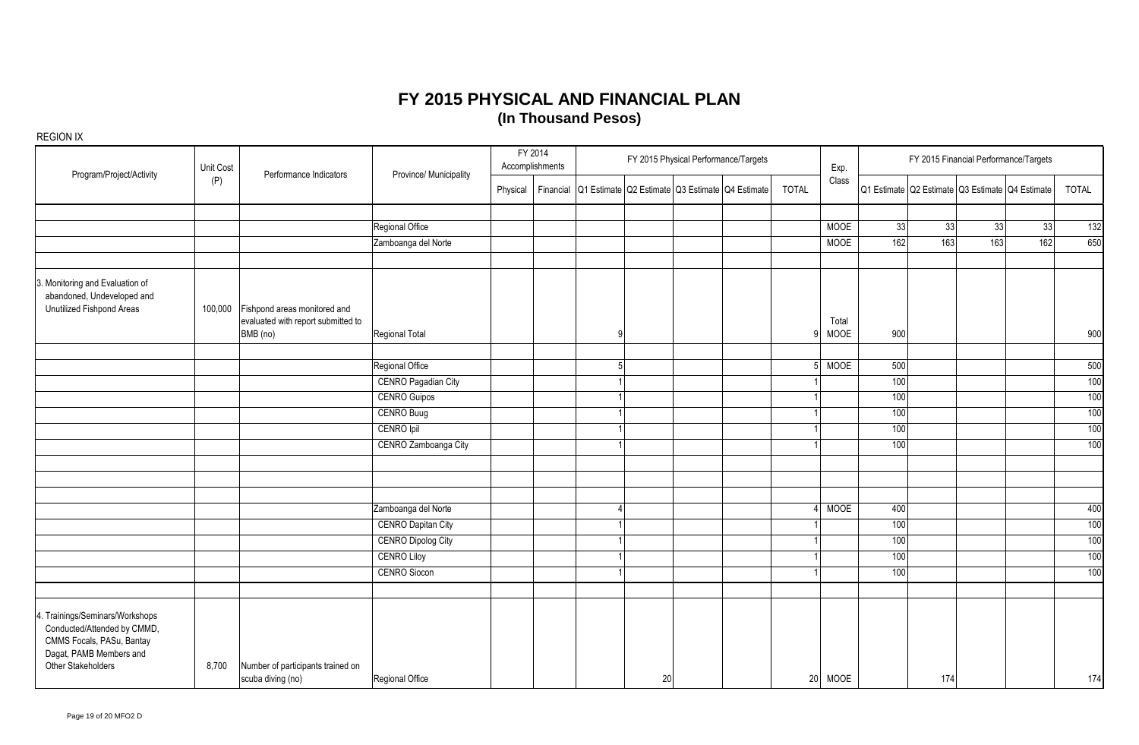| Program/Project/Activity                                                                                                                     | Unit Cost | Performance Indicators                                                         | Province/ Municipality     |          | FY 2014<br>Accomplishments |    | FY 2015 Physical Performance/Targets                      |              | Exp.          |     | FY 2015 Financial Performance/Targets           |     |     |              |
|----------------------------------------------------------------------------------------------------------------------------------------------|-----------|--------------------------------------------------------------------------------|----------------------------|----------|----------------------------|----|-----------------------------------------------------------|--------------|---------------|-----|-------------------------------------------------|-----|-----|--------------|
|                                                                                                                                              | (P)       |                                                                                |                            | Physical |                            |    | Financial Q1 Estimate Q2 Estimate Q3 Estimate Q4 Estimate | <b>TOTAL</b> | Class         |     | Q1 Estimate Q2 Estimate Q3 Estimate Q4 Estimate |     |     | <b>TOTAL</b> |
|                                                                                                                                              |           |                                                                                | Regional Office            |          |                            |    |                                                           |              | <b>MOOE</b>   | 33  | 33                                              | 33  | 33  | 132          |
|                                                                                                                                              |           |                                                                                | Zamboanga del Norte        |          |                            |    |                                                           |              | <b>MOOE</b>   | 162 | 163                                             | 163 | 162 | 650          |
| 3. Monitoring and Evaluation of<br>abandoned, Undeveloped and<br>Unutilized Fishpond Areas                                                   | 100,000   | Fishpond areas monitored and<br>evaluated with report submitted to<br>BMB (no) | Regional Total             |          |                            |    |                                                           | <b>q</b>     | Total<br>MOOE | 900 |                                                 |     |     | 900          |
|                                                                                                                                              |           |                                                                                | Regional Office            |          |                            |    |                                                           |              | <b>MOOE</b>   | 500 |                                                 |     |     | 500          |
|                                                                                                                                              |           |                                                                                | <b>CENRO Pagadian City</b> |          |                            |    |                                                           |              |               | 100 |                                                 |     |     | 100          |
|                                                                                                                                              |           |                                                                                | <b>CENRO Guipos</b>        |          |                            |    |                                                           |              |               | 100 |                                                 |     |     | 100          |
|                                                                                                                                              |           |                                                                                | CENRO Buug                 |          |                            |    |                                                           |              |               | 100 |                                                 |     |     | 100          |
|                                                                                                                                              |           |                                                                                | CENRO Ipil                 |          |                            |    |                                                           |              |               | 100 |                                                 |     |     | 100          |
|                                                                                                                                              |           |                                                                                | CENRO Zamboanga City       |          |                            |    |                                                           |              |               | 100 |                                                 |     |     | 100          |
|                                                                                                                                              |           |                                                                                |                            |          |                            |    |                                                           |              |               |     |                                                 |     |     |              |
|                                                                                                                                              |           |                                                                                | Zamboanga del Norte        |          |                            |    |                                                           |              | <b>MOOE</b>   | 400 |                                                 |     |     | 400          |
|                                                                                                                                              |           |                                                                                | <b>CENRO Dapitan City</b>  |          |                            |    |                                                           |              |               | 100 |                                                 |     |     | 100          |
|                                                                                                                                              |           |                                                                                | <b>CENRO Dipolog City</b>  |          |                            |    |                                                           |              |               | 100 |                                                 |     |     | 100          |
|                                                                                                                                              |           |                                                                                | <b>CENRO Liloy</b>         |          |                            |    |                                                           |              |               | 100 |                                                 |     |     | 100          |
|                                                                                                                                              |           |                                                                                | <b>CENRO Siocon</b>        |          |                            |    |                                                           |              |               | 100 |                                                 |     |     | 100          |
| 4. Trainings/Seminars/Workshops<br>Conducted/Attended by CMMD,<br>CMMS Focals, PASu, Bantay<br>Dagat, PAMB Members and<br>Other Stakeholders | 8,700     | Number of participants trained on<br>scuba diving (no)                         | Regional Office            |          |                            | 20 |                                                           | 20           | MOOE          |     | 174                                             |     |     | 174          |